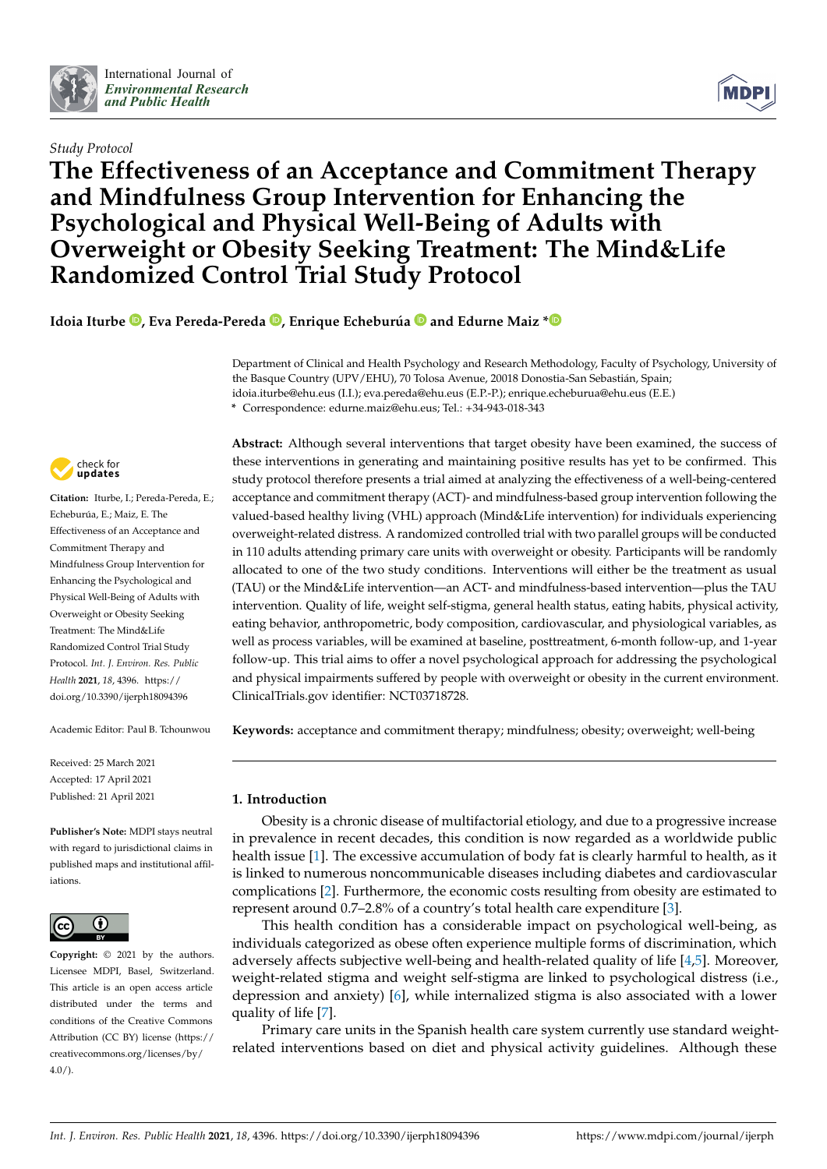

# *Study Protocol*



# **The Effectiveness of an Acceptance and Commitment Therapy and Mindfulness Group Intervention for Enhancing the Psychological and Physical Well-Being of Adults with Overweight or Obesity Seeking Treatment: The Mind&Life Randomized Control Trial Study Protocol**

**Idoia Iturbe [,](https://orcid.org/0000-0002-3945-2384) Eva Pereda-Pereda [,](https://orcid.org/0000-0001-7819-8019) Enrique Echeburúa and Edurne Maiz [\\*](https://orcid.org/0000-0002-0862-389X)**

Department of Clinical and Health Psychology and Research Methodology, Faculty of Psychology, University of the Basque Country (UPV/EHU), 70 Tolosa Avenue, 20018 Donostia-San Sebastián, Spain; idoia.iturbe@ehu.eus (I.I.); eva.pereda@ehu.eus (E.P.-P.); enrique.echeburua@ehu.eus (E.E.)

**\*** Correspondence: edurne.maiz@ehu.eus; Tel.: +34-943-018-343



**Citation:** Iturbe, I.; Pereda-Pereda, E.; Echeburúa, E.; Maiz, E. The Effectiveness of an Acceptance and Commitment Therapy and Mindfulness Group Intervention for Enhancing the Psychological and Physical Well-Being of Adults with Overweight or Obesity Seeking Treatment: The Mind&Life Randomized Control Trial Study Protocol. *Int. J. Environ. Res. Public Health* **2021**, *18*, 4396. [https://](https://doi.org/10.3390/ijerph18094396) [doi.org/10.3390/ijerph18094396](https://doi.org/10.3390/ijerph18094396)

Academic Editor: Paul B. Tchounwou

Received: 25 March 2021 Accepted: 17 April 2021 Published: 21 April 2021

**Publisher's Note:** MDPI stays neutral with regard to jurisdictional claims in published maps and institutional affiliations.



**Copyright:** © 2021 by the authors. Licensee MDPI, Basel, Switzerland. This article is an open access article distributed under the terms and conditions of the Creative Commons Attribution (CC BY) license (https:/[/](https://creativecommons.org/licenses/by/4.0/) [creativecommons.org/licenses/by/](https://creativecommons.org/licenses/by/4.0/) 4.0/).

**Abstract:** Although several interventions that target obesity have been examined, the success of these interventions in generating and maintaining positive results has yet to be confirmed. This study protocol therefore presents a trial aimed at analyzing the effectiveness of a well-being-centered acceptance and commitment therapy (ACT)- and mindfulness-based group intervention following the valued-based healthy living (VHL) approach (Mind&Life intervention) for individuals experiencing overweight-related distress. A randomized controlled trial with two parallel groups will be conducted in 110 adults attending primary care units with overweight or obesity. Participants will be randomly allocated to one of the two study conditions. Interventions will either be the treatment as usual (TAU) or the Mind&Life intervention—an ACT- and mindfulness-based intervention—plus the TAU intervention. Quality of life, weight self-stigma, general health status, eating habits, physical activity, eating behavior, anthropometric, body composition, cardiovascular, and physiological variables, as well as process variables, will be examined at baseline, posttreatment, 6-month follow-up, and 1-year follow-up. This trial aims to offer a novel psychological approach for addressing the psychological and physical impairments suffered by people with overweight or obesity in the current environment. ClinicalTrials.gov identifier: NCT03718728.

**Keywords:** acceptance and commitment therapy; mindfulness; obesity; overweight; well-being

# **1. Introduction**

Obesity is a chronic disease of multifactorial etiology, and due to a progressive increase in prevalence in recent decades, this condition is now regarded as a worldwide public health issue [\[1\]](#page-12-0). The excessive accumulation of body fat is clearly harmful to health, as it is linked to numerous noncommunicable diseases including diabetes and cardiovascular complications [\[2\]](#page-12-1). Furthermore, the economic costs resulting from obesity are estimated to represent around 0.7–2.8% of a country's total health care expenditure [\[3\]](#page-12-2).

This health condition has a considerable impact on psychological well-being, as individuals categorized as obese often experience multiple forms of discrimination, which adversely affects subjective well-being and health-related quality of life [\[4,](#page-12-3)[5\]](#page-12-4). Moreover, weight-related stigma and weight self-stigma are linked to psychological distress (i.e., depression and anxiety) [\[6\]](#page-12-5), while internalized stigma is also associated with a lower quality of life [\[7\]](#page-12-6).

Primary care units in the Spanish health care system currently use standard weightrelated interventions based on diet and physical activity guidelines. Although these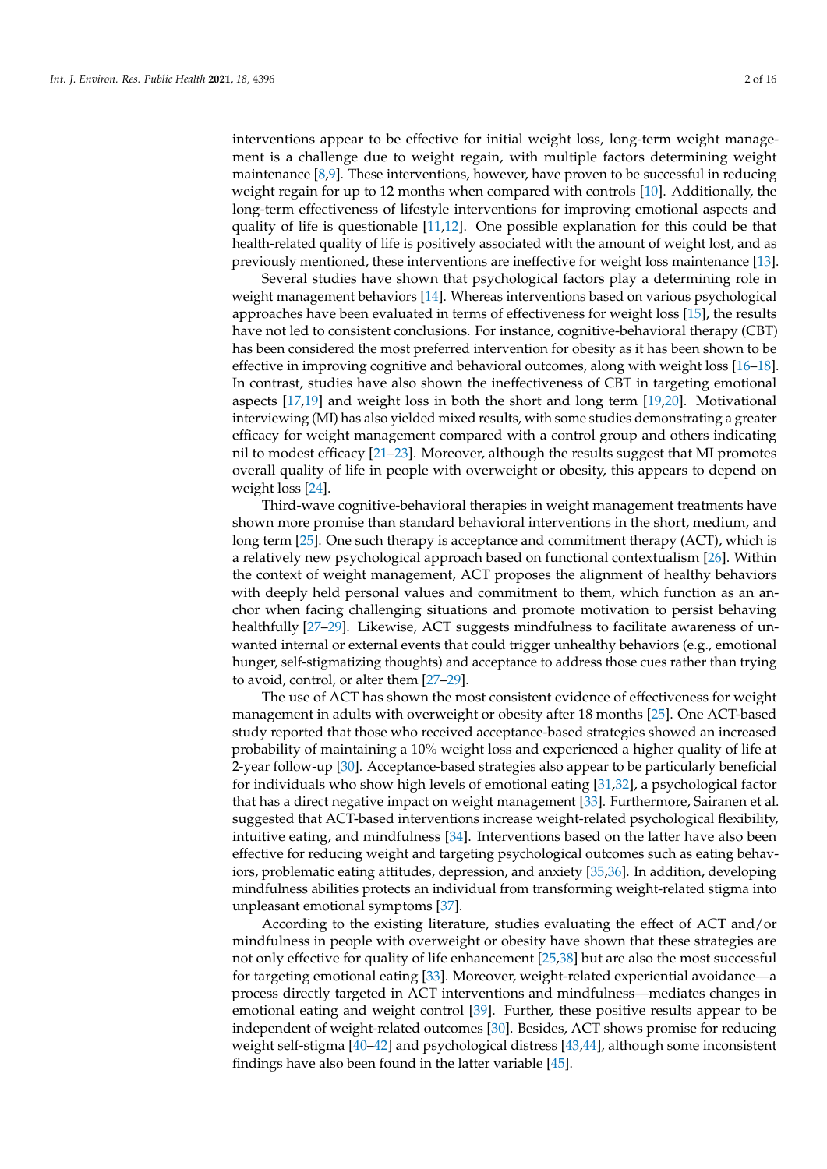interventions appear to be effective for initial weight loss, long-term weight management is a challenge due to weight regain, with multiple factors determining weight maintenance [\[8](#page-12-7)[,9\]](#page-13-0). These interventions, however, have proven to be successful in reducing weight regain for up to 12 months when compared with controls [\[10\]](#page-13-1). Additionally, the long-term effectiveness of lifestyle interventions for improving emotional aspects and quality of life is questionable [\[11](#page-13-2)[,12\]](#page-13-3). One possible explanation for this could be that health-related quality of life is positively associated with the amount of weight lost, and as previously mentioned, these interventions are ineffective for weight loss maintenance [\[13\]](#page-13-4).

Several studies have shown that psychological factors play a determining role in weight management behaviors [\[14\]](#page-13-5). Whereas interventions based on various psychological approaches have been evaluated in terms of effectiveness for weight loss [\[15\]](#page-13-6), the results have not led to consistent conclusions. For instance, cognitive-behavioral therapy (CBT) has been considered the most preferred intervention for obesity as it has been shown to be effective in improving cognitive and behavioral outcomes, along with weight loss [\[16](#page-13-7)[–18\]](#page-13-8). In contrast, studies have also shown the ineffectiveness of CBT in targeting emotional aspects [\[17](#page-13-9)[,19\]](#page-13-10) and weight loss in both the short and long term [\[19](#page-13-10)[,20\]](#page-13-11). Motivational interviewing (MI) has also yielded mixed results, with some studies demonstrating a greater efficacy for weight management compared with a control group and others indicating nil to modest efficacy [\[21–](#page-13-12)[23\]](#page-13-13). Moreover, although the results suggest that MI promotes overall quality of life in people with overweight or obesity, this appears to depend on weight loss [\[24\]](#page-13-14).

Third-wave cognitive-behavioral therapies in weight management treatments have shown more promise than standard behavioral interventions in the short, medium, and long term [\[25\]](#page-13-15). One such therapy is acceptance and commitment therapy (ACT), which is a relatively new psychological approach based on functional contextualism [\[26\]](#page-13-16). Within the context of weight management, ACT proposes the alignment of healthy behaviors with deeply held personal values and commitment to them, which function as an anchor when facing challenging situations and promote motivation to persist behaving healthfully [\[27](#page-13-17)[–29\]](#page-13-18). Likewise, ACT suggests mindfulness to facilitate awareness of unwanted internal or external events that could trigger unhealthy behaviors (e.g., emotional hunger, self-stigmatizing thoughts) and acceptance to address those cues rather than trying to avoid, control, or alter them [\[27](#page-13-17)[–29\]](#page-13-18).

The use of ACT has shown the most consistent evidence of effectiveness for weight management in adults with overweight or obesity after 18 months [\[25\]](#page-13-15). One ACT-based study reported that those who received acceptance-based strategies showed an increased probability of maintaining a 10% weight loss and experienced a higher quality of life at 2-year follow-up [\[30\]](#page-13-19). Acceptance-based strategies also appear to be particularly beneficial for individuals who show high levels of emotional eating [\[31,](#page-13-20)[32\]](#page-13-21), a psychological factor that has a direct negative impact on weight management [\[33\]](#page-13-22). Furthermore, Sairanen et al. suggested that ACT-based interventions increase weight-related psychological flexibility, intuitive eating, and mindfulness [\[34\]](#page-14-0). Interventions based on the latter have also been effective for reducing weight and targeting psychological outcomes such as eating behaviors, problematic eating attitudes, depression, and anxiety [\[35,](#page-14-1)[36\]](#page-14-2). In addition, developing mindfulness abilities protects an individual from transforming weight-related stigma into unpleasant emotional symptoms [\[37\]](#page-14-3).

According to the existing literature, studies evaluating the effect of ACT and/or mindfulness in people with overweight or obesity have shown that these strategies are not only effective for quality of life enhancement [\[25](#page-13-15)[,38\]](#page-14-4) but are also the most successful for targeting emotional eating [\[33\]](#page-13-22). Moreover, weight-related experiential avoidance—a process directly targeted in ACT interventions and mindfulness—mediates changes in emotional eating and weight control [\[39\]](#page-14-5). Further, these positive results appear to be independent of weight-related outcomes [\[30\]](#page-13-19). Besides, ACT shows promise for reducing weight self-stigma [\[40](#page-14-6)[–42\]](#page-14-7) and psychological distress [\[43,](#page-14-8)[44\]](#page-14-9), although some inconsistent findings have also been found in the latter variable [\[45\]](#page-14-10).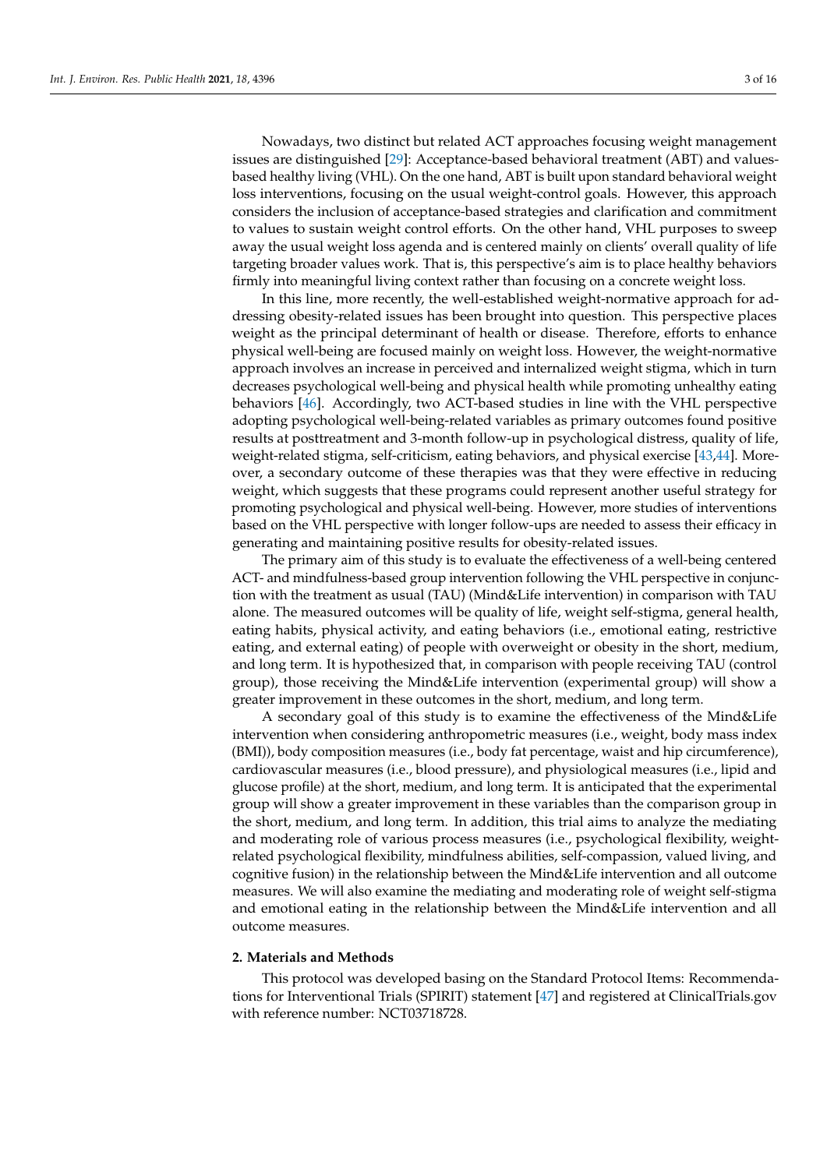Nowadays, two distinct but related ACT approaches focusing weight management issues are distinguished [\[29\]](#page-13-18): Acceptance-based behavioral treatment (ABT) and valuesbased healthy living (VHL). On the one hand, ABT is built upon standard behavioral weight loss interventions, focusing on the usual weight-control goals. However, this approach considers the inclusion of acceptance-based strategies and clarification and commitment to values to sustain weight control efforts. On the other hand, VHL purposes to sweep away the usual weight loss agenda and is centered mainly on clients' overall quality of life targeting broader values work. That is, this perspective's aim is to place healthy behaviors firmly into meaningful living context rather than focusing on a concrete weight loss.

In this line, more recently, the well-established weight-normative approach for addressing obesity-related issues has been brought into question. This perspective places weight as the principal determinant of health or disease. Therefore, efforts to enhance physical well-being are focused mainly on weight loss. However, the weight-normative approach involves an increase in perceived and internalized weight stigma, which in turn decreases psychological well-being and physical health while promoting unhealthy eating behaviors [\[46\]](#page-14-11). Accordingly, two ACT-based studies in line with the VHL perspective adopting psychological well-being-related variables as primary outcomes found positive results at posttreatment and 3-month follow-up in psychological distress, quality of life, weight-related stigma, self-criticism, eating behaviors, and physical exercise [\[43,](#page-14-8)[44\]](#page-14-9). Moreover, a secondary outcome of these therapies was that they were effective in reducing weight, which suggests that these programs could represent another useful strategy for promoting psychological and physical well-being. However, more studies of interventions based on the VHL perspective with longer follow-ups are needed to assess their efficacy in generating and maintaining positive results for obesity-related issues.

The primary aim of this study is to evaluate the effectiveness of a well-being centered ACT- and mindfulness-based group intervention following the VHL perspective in conjunction with the treatment as usual (TAU) (Mind&Life intervention) in comparison with TAU alone. The measured outcomes will be quality of life, weight self-stigma, general health, eating habits, physical activity, and eating behaviors (i.e., emotional eating, restrictive eating, and external eating) of people with overweight or obesity in the short, medium, and long term. It is hypothesized that, in comparison with people receiving TAU (control group), those receiving the Mind&Life intervention (experimental group) will show a greater improvement in these outcomes in the short, medium, and long term.

A secondary goal of this study is to examine the effectiveness of the Mind&Life intervention when considering anthropometric measures (i.e., weight, body mass index (BMI)), body composition measures (i.e., body fat percentage, waist and hip circumference), cardiovascular measures (i.e., blood pressure), and physiological measures (i.e., lipid and glucose profile) at the short, medium, and long term. It is anticipated that the experimental group will show a greater improvement in these variables than the comparison group in the short, medium, and long term. In addition, this trial aims to analyze the mediating and moderating role of various process measures (i.e., psychological flexibility, weightrelated psychological flexibility, mindfulness abilities, self-compassion, valued living, and cognitive fusion) in the relationship between the Mind&Life intervention and all outcome measures. We will also examine the mediating and moderating role of weight self-stigma and emotional eating in the relationship between the Mind&Life intervention and all outcome measures.

## **2. Materials and Methods**

This protocol was developed basing on the Standard Protocol Items: Recommendations for Interventional Trials (SPIRIT) statement [\[47\]](#page-14-12) and registered at ClinicalTrials.gov with reference number: NCT03718728.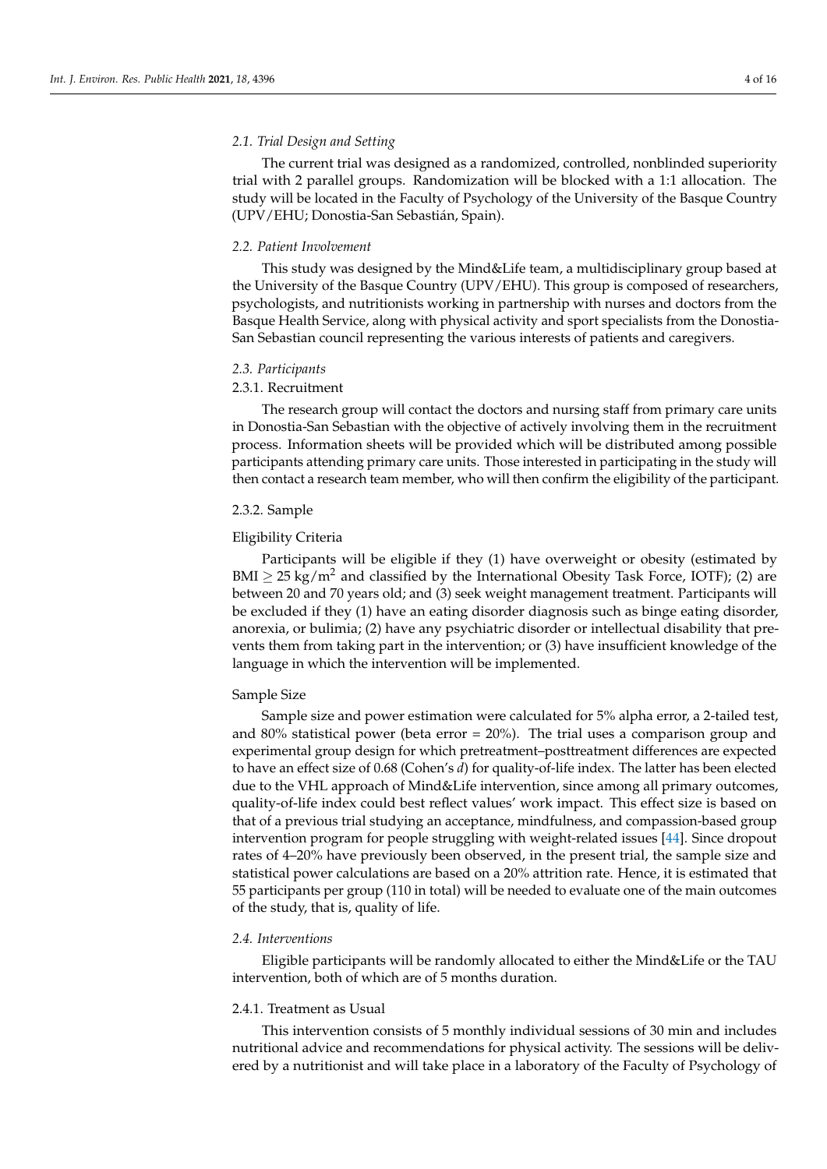# *2.1. Trial Design and Setting*

The current trial was designed as a randomized, controlled, nonblinded superiority trial with 2 parallel groups. Randomization will be blocked with a 1:1 allocation. The study will be located in the Faculty of Psychology of the University of the Basque Country (UPV/EHU; Donostia-San Sebastián, Spain).

## *2.2. Patient Involvement*

This study was designed by the Mind&Life team, a multidisciplinary group based at the University of the Basque Country (UPV/EHU). This group is composed of researchers, psychologists, and nutritionists working in partnership with nurses and doctors from the Basque Health Service, along with physical activity and sport specialists from the Donostia-San Sebastian council representing the various interests of patients and caregivers.

## *2.3. Participants*

# 2.3.1. Recruitment

The research group will contact the doctors and nursing staff from primary care units in Donostia-San Sebastian with the objective of actively involving them in the recruitment process. Information sheets will be provided which will be distributed among possible participants attending primary care units. Those interested in participating in the study will then contact a research team member, who will then confirm the eligibility of the participant.

# 2.3.2. Sample

# Eligibility Criteria

Participants will be eligible if they (1) have overweight or obesity (estimated by BMI  $\geq$  25 kg/m<sup>2</sup> and classified by the International Obesity Task Force, IOTF); (2) are between 20 and 70 years old; and (3) seek weight management treatment. Participants will be excluded if they (1) have an eating disorder diagnosis such as binge eating disorder, anorexia, or bulimia; (2) have any psychiatric disorder or intellectual disability that prevents them from taking part in the intervention; or (3) have insufficient knowledge of the language in which the intervention will be implemented.

## Sample Size

Sample size and power estimation were calculated for 5% alpha error, a 2-tailed test, and 80% statistical power (beta error  $= 20\%$ ). The trial uses a comparison group and experimental group design for which pretreatment–posttreatment differences are expected to have an effect size of 0.68 (Cohen's *d*) for quality-of-life index. The latter has been elected due to the VHL approach of Mind&Life intervention, since among all primary outcomes, quality-of-life index could best reflect values' work impact. This effect size is based on that of a previous trial studying an acceptance, mindfulness, and compassion-based group intervention program for people struggling with weight-related issues [\[44\]](#page-14-9). Since dropout rates of 4–20% have previously been observed, in the present trial, the sample size and statistical power calculations are based on a 20% attrition rate. Hence, it is estimated that 55 participants per group (110 in total) will be needed to evaluate one of the main outcomes of the study, that is, quality of life.

# *2.4. Interventions*

Eligible participants will be randomly allocated to either the Mind&Life or the TAU intervention, both of which are of 5 months duration.

# 2.4.1. Treatment as Usual

This intervention consists of 5 monthly individual sessions of 30 min and includes nutritional advice and recommendations for physical activity. The sessions will be delivered by a nutritionist and will take place in a laboratory of the Faculty of Psychology of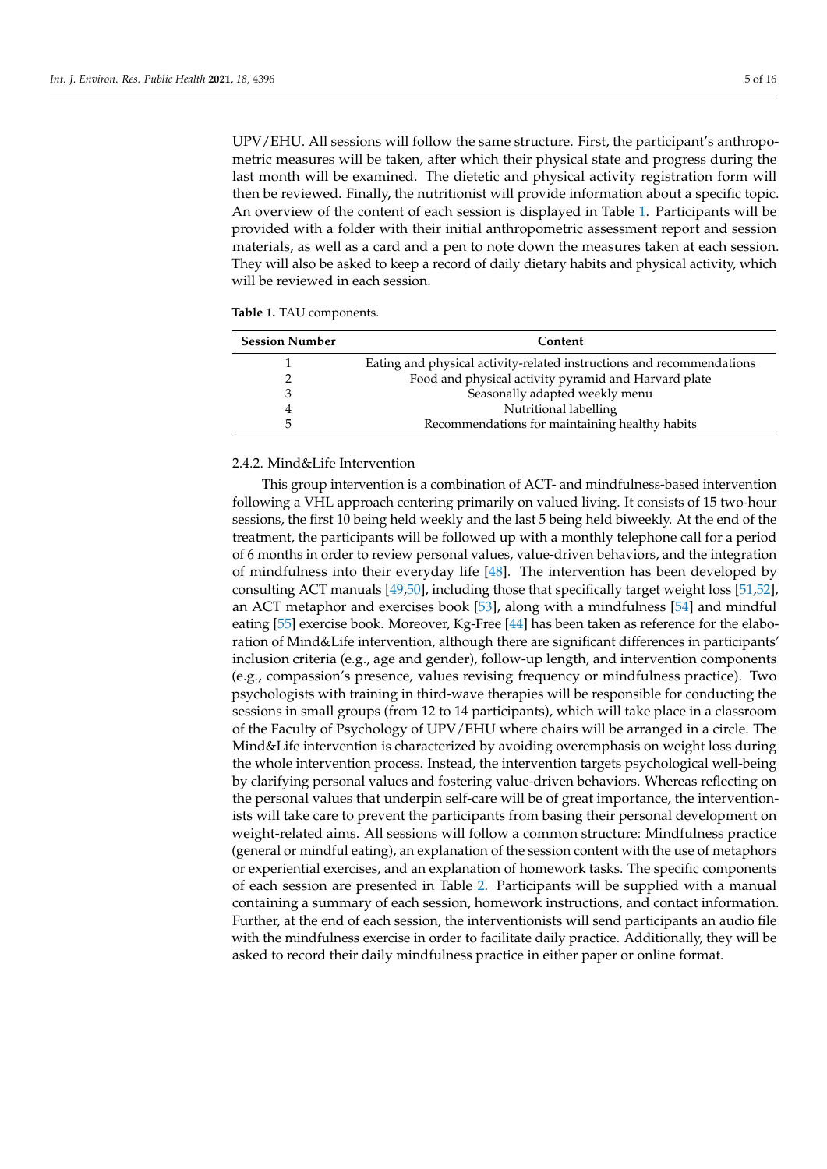UPV/EHU. All sessions will follow the same structure. First, the participant's anthropometric measures will be taken, after which their physical state and progress during the last month will be examined. The dietetic and physical activity registration form will then be reviewed. Finally, the nutritionist will provide information about a specific topic. An overview of the content of each session is displayed in Table [1.](#page-4-0) Participants will be provided with a folder with their initial anthropometric assessment report and session materials, as well as a card and a pen to note down the measures taken at each session. They will also be asked to keep a record of daily dietary habits and physical activity, which will be reviewed in each session.

<span id="page-4-0"></span>

|  |  |  |  | <b>Table 1.</b> TAU components. |
|--|--|--|--|---------------------------------|
|--|--|--|--|---------------------------------|

| <b>Session Number</b> | Content                                                               |  |  |  |  |
|-----------------------|-----------------------------------------------------------------------|--|--|--|--|
|                       | Eating and physical activity-related instructions and recommendations |  |  |  |  |
|                       | Food and physical activity pyramid and Harvard plate                  |  |  |  |  |
|                       | Seasonally adapted weekly menu                                        |  |  |  |  |
|                       | Nutritional labelling                                                 |  |  |  |  |
|                       | Recommendations for maintaining healthy habits                        |  |  |  |  |

# 2.4.2. Mind&Life Intervention

This group intervention is a combination of ACT- and mindfulness-based intervention following a VHL approach centering primarily on valued living. It consists of 15 two-hour sessions, the first 10 being held weekly and the last 5 being held biweekly. At the end of the treatment, the participants will be followed up with a monthly telephone call for a period of 6 months in order to review personal values, value-driven behaviors, and the integration of mindfulness into their everyday life [\[48\]](#page-14-13). The intervention has been developed by consulting ACT manuals [\[49,](#page-14-14)[50\]](#page-14-15), including those that specifically target weight loss [\[51](#page-14-16)[,52\]](#page-14-17), an ACT metaphor and exercises book [\[53\]](#page-14-18), along with a mindfulness [\[54\]](#page-14-19) and mindful eating [\[55\]](#page-14-20) exercise book. Moreover, Kg-Free [\[44\]](#page-14-9) has been taken as reference for the elaboration of Mind&Life intervention, although there are significant differences in participants' inclusion criteria (e.g., age and gender), follow-up length, and intervention components (e.g., compassion's presence, values revising frequency or mindfulness practice). Two psychologists with training in third-wave therapies will be responsible for conducting the sessions in small groups (from 12 to 14 participants), which will take place in a classroom of the Faculty of Psychology of UPV/EHU where chairs will be arranged in a circle. The Mind&Life intervention is characterized by avoiding overemphasis on weight loss during the whole intervention process. Instead, the intervention targets psychological well-being by clarifying personal values and fostering value-driven behaviors. Whereas reflecting on the personal values that underpin self-care will be of great importance, the interventionists will take care to prevent the participants from basing their personal development on weight-related aims. All sessions will follow a common structure: Mindfulness practice (general or mindful eating), an explanation of the session content with the use of metaphors or experiential exercises, and an explanation of homework tasks. The specific components of each session are presented in Table [2.](#page-5-0) Participants will be supplied with a manual containing a summary of each session, homework instructions, and contact information. Further, at the end of each session, the interventionists will send participants an audio file with the mindfulness exercise in order to facilitate daily practice. Additionally, they will be asked to record their daily mindfulness practice in either paper or online format.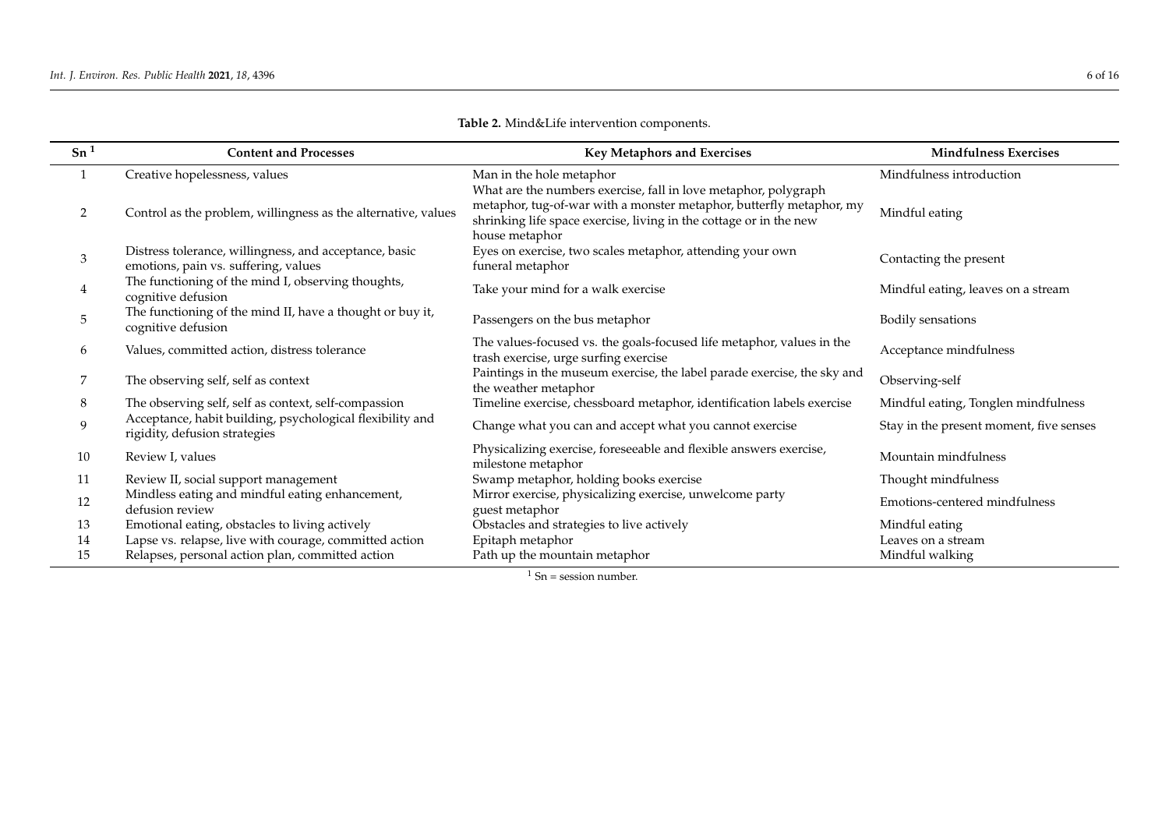<span id="page-5-0"></span>

| Sn <sup>1</sup> | <b>Content and Processes</b>                                                                   | Key Metaphors and Exercises                                                                                                                                                                                                     | <b>Mindfulness Exercises</b>            |  |  |
|-----------------|------------------------------------------------------------------------------------------------|---------------------------------------------------------------------------------------------------------------------------------------------------------------------------------------------------------------------------------|-----------------------------------------|--|--|
|                 | Creative hopelessness, values                                                                  | Man in the hole metaphor                                                                                                                                                                                                        | Mindfulness introduction                |  |  |
| 2               | Control as the problem, willingness as the alternative, values                                 | What are the numbers exercise, fall in love metaphor, polygraph<br>metaphor, tug-of-war with a monster metaphor, butterfly metaphor, my<br>shrinking life space exercise, living in the cottage or in the new<br>house metaphor | Mindful eating                          |  |  |
| 3               | Distress tolerance, willingness, and acceptance, basic<br>emotions, pain vs. suffering, values | Eyes on exercise, two scales metaphor, attending your own<br>funeral metaphor                                                                                                                                                   | Contacting the present                  |  |  |
| 4               | The functioning of the mind I, observing thoughts,<br>cognitive defusion                       | Take your mind for a walk exercise                                                                                                                                                                                              | Mindful eating, leaves on a stream      |  |  |
| 5               | The functioning of the mind II, have a thought or buy it,<br>cognitive defusion                | Passengers on the bus metaphor                                                                                                                                                                                                  | Bodily sensations                       |  |  |
| 6               | Values, committed action, distress tolerance                                                   | The values-focused vs. the goals-focused life metaphor, values in the<br>trash exercise, urge surfing exercise                                                                                                                  | Acceptance mindfulness                  |  |  |
| 7               | The observing self, self as context                                                            | Paintings in the museum exercise, the label parade exercise, the sky and<br>the weather metaphor                                                                                                                                | Observing-self                          |  |  |
| 8               | The observing self, self as context, self-compassion                                           | Timeline exercise, chessboard metaphor, identification labels exercise                                                                                                                                                          | Mindful eating, Tonglen mindfulness     |  |  |
| 9               | Acceptance, habit building, psychological flexibility and<br>rigidity, defusion strategies     | Change what you can and accept what you cannot exercise                                                                                                                                                                         | Stay in the present moment, five senses |  |  |
| 10              | Review I, values                                                                               | Physicalizing exercise, foreseeable and flexible answers exercise,<br>milestone metaphor                                                                                                                                        | Mountain mindfulness                    |  |  |
| 11              | Review II, social support management                                                           | Swamp metaphor, holding books exercise                                                                                                                                                                                          | Thought mindfulness                     |  |  |
| 12              | Mindless eating and mindful eating enhancement,<br>defusion review                             | Mirror exercise, physicalizing exercise, unwelcome party<br>guest metaphor                                                                                                                                                      | Emotions-centered mindfulness           |  |  |
| 13              | Emotional eating, obstacles to living actively                                                 | Obstacles and strategies to live actively                                                                                                                                                                                       | Mindful eating                          |  |  |
| 14              | Lapse vs. relapse, live with courage, committed action                                         | Epitaph metaphor                                                                                                                                                                                                                | Leaves on a stream                      |  |  |
| 15              | Relapses, personal action plan, committed action                                               | Path up the mountain metaphor                                                                                                                                                                                                   | Mindful walking                         |  |  |

**Table 2.** Mind&Life intervention components.

 $\frac{1 \text{ Sn}}{1 \text{ Sn}} = \frac{1 \text{ session number}}{1 \text{ s}}$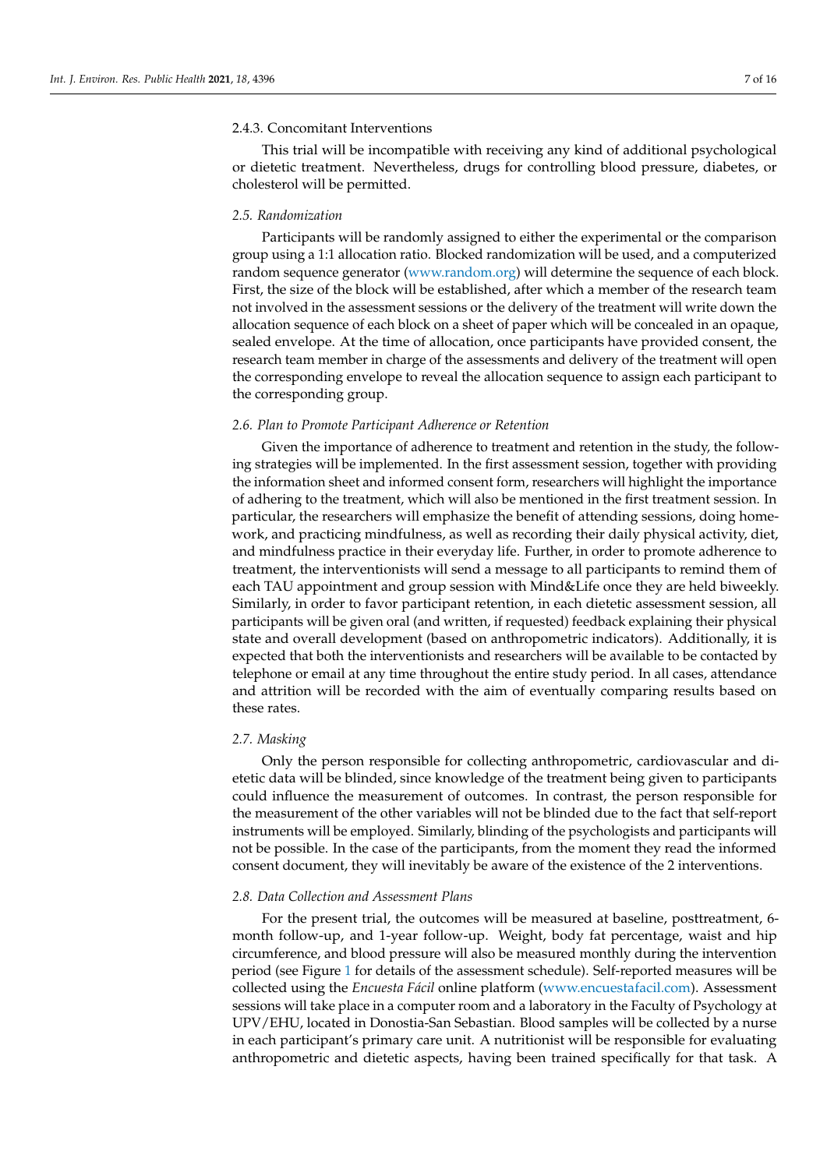# 2.4.3. Concomitant Interventions

This trial will be incompatible with receiving any kind of additional psychological or dietetic treatment. Nevertheless, drugs for controlling blood pressure, diabetes, or cholesterol will be permitted.

## *2.5. Randomization*

Participants will be randomly assigned to either the experimental or the comparison group using a 1:1 allocation ratio. Blocked randomization will be used, and a computerized random sequence generator [\(www.random.org\)](www.random.org) will determine the sequence of each block. First, the size of the block will be established, after which a member of the research team not involved in the assessment sessions or the delivery of the treatment will write down the allocation sequence of each block on a sheet of paper which will be concealed in an opaque, sealed envelope. At the time of allocation, once participants have provided consent, the research team member in charge of the assessments and delivery of the treatment will open the corresponding envelope to reveal the allocation sequence to assign each participant to the corresponding group.

## *2.6. Plan to Promote Participant Adherence or Retention*

Given the importance of adherence to treatment and retention in the study, the following strategies will be implemented. In the first assessment session, together with providing the information sheet and informed consent form, researchers will highlight the importance of adhering to the treatment, which will also be mentioned in the first treatment session. In particular, the researchers will emphasize the benefit of attending sessions, doing homework, and practicing mindfulness, as well as recording their daily physical activity, diet, and mindfulness practice in their everyday life. Further, in order to promote adherence to treatment, the interventionists will send a message to all participants to remind them of each TAU appointment and group session with Mind&Life once they are held biweekly. Similarly, in order to favor participant retention, in each dietetic assessment session, all participants will be given oral (and written, if requested) feedback explaining their physical state and overall development (based on anthropometric indicators). Additionally, it is expected that both the interventionists and researchers will be available to be contacted by telephone or email at any time throughout the entire study period. In all cases, attendance and attrition will be recorded with the aim of eventually comparing results based on these rates.

## *2.7. Masking*

Only the person responsible for collecting anthropometric, cardiovascular and dietetic data will be blinded, since knowledge of the treatment being given to participants could influence the measurement of outcomes. In contrast, the person responsible for the measurement of the other variables will not be blinded due to the fact that self-report instruments will be employed. Similarly, blinding of the psychologists and participants will not be possible. In the case of the participants, from the moment they read the informed consent document, they will inevitably be aware of the existence of the 2 interventions.

## *2.8. Data Collection and Assessment Plans*

For the present trial, the outcomes will be measured at baseline, posttreatment, 6 month follow-up, and 1-year follow-up. Weight, body fat percentage, waist and hip circumference, and blood pressure will also be measured monthly during the intervention period (see Figure [1](#page-8-0) for details of the assessment schedule). Self-reported measures will be collected using the *Encuesta Fácil* online platform [\(www.encuestafacil.com\)](www.encuestafacil.com). Assessment sessions will take place in a computer room and a laboratory in the Faculty of Psychology at UPV/EHU, located in Donostia-San Sebastian. Blood samples will be collected by a nurse in each participant's primary care unit. A nutritionist will be responsible for evaluating anthropometric and dietetic aspects, having been trained specifically for that task. A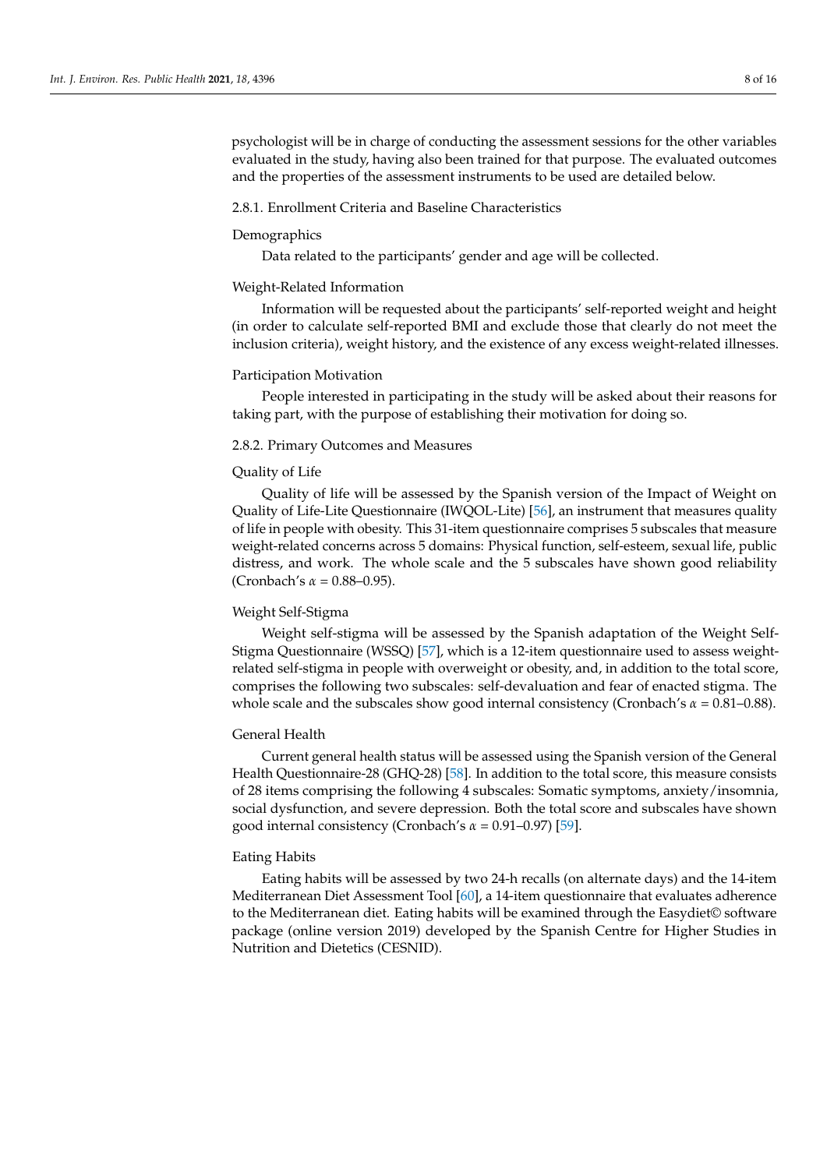psychologist will be in charge of conducting the assessment sessions for the other variables evaluated in the study, having also been trained for that purpose. The evaluated outcomes and the properties of the assessment instruments to be used are detailed below.

# 2.8.1. Enrollment Criteria and Baseline Characteristics

## Demographics

Data related to the participants' gender and age will be collected.

#### Weight-Related Information

Information will be requested about the participants' self-reported weight and height (in order to calculate self-reported BMI and exclude those that clearly do not meet the inclusion criteria), weight history, and the existence of any excess weight-related illnesses.

#### Participation Motivation

People interested in participating in the study will be asked about their reasons for taking part, with the purpose of establishing their motivation for doing so.

# 2.8.2. Primary Outcomes and Measures

# Quality of Life

Quality of life will be assessed by the Spanish version of the Impact of Weight on Quality of Life-Lite Questionnaire (IWQOL-Lite) [\[56\]](#page-14-21), an instrument that measures quality of life in people with obesity. This 31-item questionnaire comprises 5 subscales that measure weight-related concerns across 5 domains: Physical function, self-esteem, sexual life, public distress, and work. The whole scale and the 5 subscales have shown good reliability (Cronbach's *α* = 0.88–0.95).

## Weight Self-Stigma

Weight self-stigma will be assessed by the Spanish adaptation of the Weight Self-Stigma Questionnaire (WSSQ) [\[57\]](#page-14-22), which is a 12-item questionnaire used to assess weightrelated self-stigma in people with overweight or obesity, and, in addition to the total score, comprises the following two subscales: self-devaluation and fear of enacted stigma. The whole scale and the subscales show good internal consistency (Cronbach's *α* = 0.81–0.88).

## General Health

Current general health status will be assessed using the Spanish version of the General Health Questionnaire-28 (GHQ-28) [\[58\]](#page-14-23). In addition to the total score, this measure consists of 28 items comprising the following 4 subscales: Somatic symptoms, anxiety/insomnia, social dysfunction, and severe depression. Both the total score and subscales have shown good internal consistency (Cronbach's *α* = 0.91–0.97) [\[59\]](#page-14-24).

# Eating Habits

Eating habits will be assessed by two 24-h recalls (on alternate days) and the 14-item Mediterranean Diet Assessment Tool [\[60\]](#page-15-0), a 14-item questionnaire that evaluates adherence to the Mediterranean diet. Eating habits will be examined through the Easydiet© software package (online version 2019) developed by the Spanish Centre for Higher Studies in Nutrition and Dietetics (CESNID).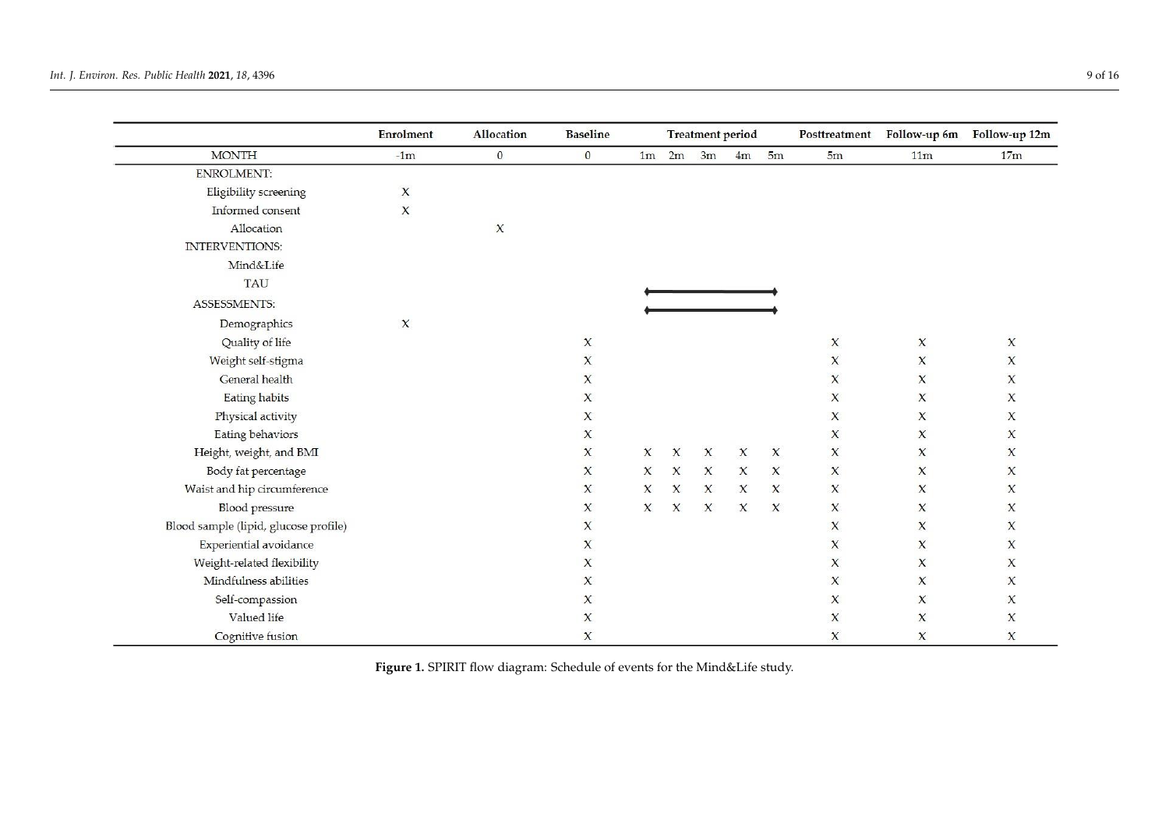<span id="page-8-0"></span>

|                                       | <b>Enrolment</b> | <b>Allocation</b> | <b>Baseline</b>                  |                     | <b>Treatment period</b> |              | Posttreatment |                     | Follow-up 6m Follow-up 12m |                     |                     |
|---------------------------------------|------------------|-------------------|----------------------------------|---------------------|-------------------------|--------------|---------------|---------------------|----------------------------|---------------------|---------------------|
| <b>MONTH</b>                          | $-1m$            | $\mathbf{0}$      | $\mathbf{0}$                     | 1 <sub>m</sub>      | 2m                      | 3m           | 4m            | 5m                  | 5m                         | 11 <sub>m</sub>     | 17m                 |
| <b>ENROLMENT:</b>                     |                  |                   |                                  |                     |                         |              |               |                     |                            |                     |                     |
| Eligibility screening                 | X                |                   |                                  |                     |                         |              |               |                     |                            |                     |                     |
| Informed consent                      | $\pmb{\chi}$     |                   |                                  |                     |                         |              |               |                     |                            |                     |                     |
| Allocation                            |                  | $\chi$            |                                  |                     |                         |              |               |                     |                            |                     |                     |
| INTERVENTIONS:                        |                  |                   |                                  |                     |                         |              |               |                     |                            |                     |                     |
| Mind&Life                             |                  |                   |                                  |                     |                         |              |               |                     |                            |                     |                     |
| <b>TAU</b>                            |                  |                   |                                  |                     |                         |              |               |                     |                            |                     |                     |
| ASSESSMENTS:                          |                  |                   |                                  |                     |                         |              |               |                     |                            |                     |                     |
| Demographics                          | $\chi$           |                   |                                  |                     |                         |              |               |                     |                            |                     |                     |
| Quality of life                       |                  |                   | $\chi$                           |                     |                         |              |               |                     | $\pmb{\chi}$               | X                   | $\boldsymbol{\chi}$ |
| Weight self-stigma                    |                  |                   | $\boldsymbol{\chi}$              |                     |                         |              |               |                     | $\pmb{\chi}$               | $\boldsymbol{\chi}$ | $\pmb{\chi}$        |
| General health                        |                  |                   | $\chi$                           |                     |                         |              |               |                     | $\mathsf X$                | X                   | X                   |
| Eating habits                         |                  |                   | X                                |                     |                         |              |               |                     | $\chi$                     | X                   | $\chi$              |
| Physical activity                     |                  |                   | $\chi$                           |                     |                         |              |               |                     | $\mathbf x$                | X                   | X                   |
| Eating behaviors                      |                  |                   | $\pmb{\chi}$                     |                     |                         |              |               |                     | $\boldsymbol{\chi}$        | $\boldsymbol{\chi}$ | $\pmb{\chi}$        |
| Height, weight, and BMI               |                  |                   | $\mathsf X$                      | $\boldsymbol{\chi}$ | $\mathsf{x}$            | $\pmb{\chi}$ | $\mathsf{X}$  | $\pmb{\chi}$        | $\pmb{\chi}$               | X                   | $\boldsymbol{\chi}$ |
| Body fat percentage                   |                  |                   | $\chi$                           | $\pmb{\chi}$        | $\boldsymbol{\chi}$     | $\mathsf{X}$ | $\pmb{\chi}$  | $\boldsymbol{\chi}$ | $\pmb{\chi}$               | $\mathbf x$         | $\chi$              |
| Waist and hip circumference           |                  |                   | $\chi$                           | X                   | $\mathsf{X}$            | $\mathsf{x}$ | $\chi$        | $\mathsf{X}$        | $\mathbf{x}$               | $\pmb{\chi}$        | $\chi$              |
| <b>Blood</b> pressure                 |                  |                   | X                                | $\mathsf{X}$        | X                       | $\mathsf X$  | $\mathsf{x}$  | $\mathsf{X}$        | $\mathbf x$                | X                   | X                   |
| Blood sample (lipid, glucose profile) |                  |                   | $\ensuremath{\mathsf{X}}\xspace$ |                     |                         |              |               |                     | $\pmb{\chi}$               | $\boldsymbol{\chi}$ | $\pmb{\chi}$        |
| Experiential avoidance                |                  |                   | $\chi$                           |                     |                         |              |               |                     | $\chi$                     | $\chi$              | X                   |
| Weight-related flexibility            |                  |                   | $\mathsf{x}$                     |                     |                         |              |               |                     | $\chi$                     | $\chi$              | $\chi$              |
| Mindfulness abilities                 |                  |                   | $\chi$                           |                     |                         |              |               |                     | $\chi$                     | X                   | $\chi$              |
| Self-compassion                       |                  |                   | X                                |                     |                         |              |               |                     | $\chi$                     | X                   | X                   |
| Valued life                           |                  |                   | $\chi$                           |                     |                         |              |               |                     | $\pmb{\chi}$               | $\pmb{\chi}$        | $\boldsymbol{\chi}$ |
| Cognitive fusion                      |                  |                   | $\pmb{\chi}$                     |                     |                         |              |               |                     | $\pmb{\chi}$               | $\pmb{\chi}$        | $\pmb{\chi}$        |

**Figure 1. Figure 1.**  SPIRIT flow diagram: Schedule of events for the Mind&Life study. SPIRIT flow diagram: Schedule of events for the Mind&Life study.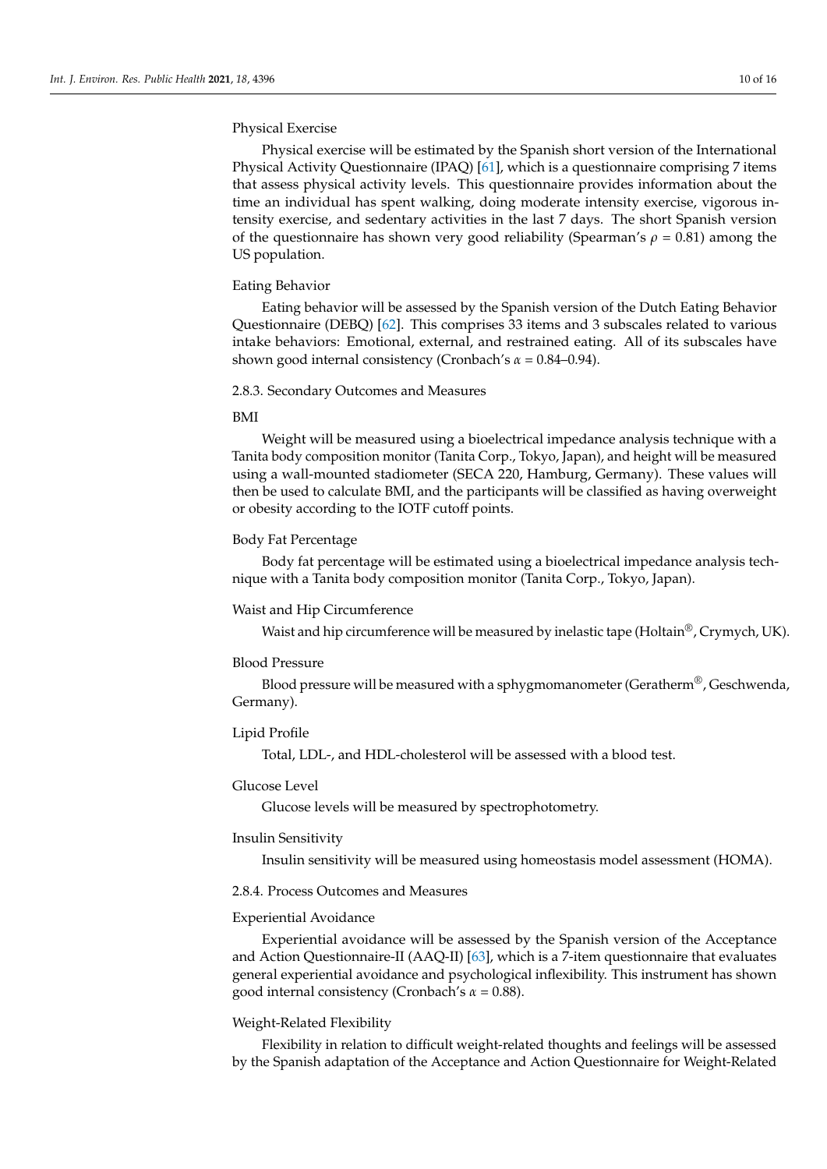# Physical Exercise

Physical exercise will be estimated by the Spanish short version of the International Physical Activity Questionnaire (IPAQ) [\[61\]](#page-15-1), which is a questionnaire comprising 7 items that assess physical activity levels. This questionnaire provides information about the time an individual has spent walking, doing moderate intensity exercise, vigorous intensity exercise, and sedentary activities in the last 7 days. The short Spanish version of the questionnaire has shown very good reliability (Spearman's  $\rho = 0.81$ ) among the US population.

## Eating Behavior

Eating behavior will be assessed by the Spanish version of the Dutch Eating Behavior Questionnaire (DEBQ) [\[62\]](#page-15-2). This comprises 33 items and 3 subscales related to various intake behaviors: Emotional, external, and restrained eating. All of its subscales have shown good internal consistency (Cronbach's *α* = 0.84–0.94).

# 2.8.3. Secondary Outcomes and Measures

# BMI

Weight will be measured using a bioelectrical impedance analysis technique with a Tanita body composition monitor (Tanita Corp., Tokyo, Japan), and height will be measured using a wall-mounted stadiometer (SECA 220, Hamburg, Germany). These values will then be used to calculate BMI, and the participants will be classified as having overweight or obesity according to the IOTF cutoff points.

## Body Fat Percentage

Body fat percentage will be estimated using a bioelectrical impedance analysis technique with a Tanita body composition monitor (Tanita Corp., Tokyo, Japan).

## Waist and Hip Circumference

Waist and hip circumference will be measured by inelastic tape (Holtain<sup>®</sup>, Crymych, UK).

## Blood Pressure

Blood pressure will be measured with a sphygmomanometer (Geratherm<sup>®</sup>, Geschwenda, Germany).

# Lipid Profile

Total, LDL-, and HDL-cholesterol will be assessed with a blood test.

# Glucose Level

Glucose levels will be measured by spectrophotometry.

## Insulin Sensitivity

Insulin sensitivity will be measured using homeostasis model assessment (HOMA).

## 2.8.4. Process Outcomes and Measures

## Experiential Avoidance

Experiential avoidance will be assessed by the Spanish version of the Acceptance and Action Questionnaire-II (AAQ-II) [\[63\]](#page-15-3), which is a 7-item questionnaire that evaluates general experiential avoidance and psychological inflexibility. This instrument has shown good internal consistency (Cronbach's *α* = 0.88).

## Weight-Related Flexibility

Flexibility in relation to difficult weight-related thoughts and feelings will be assessed by the Spanish adaptation of the Acceptance and Action Questionnaire for Weight-Related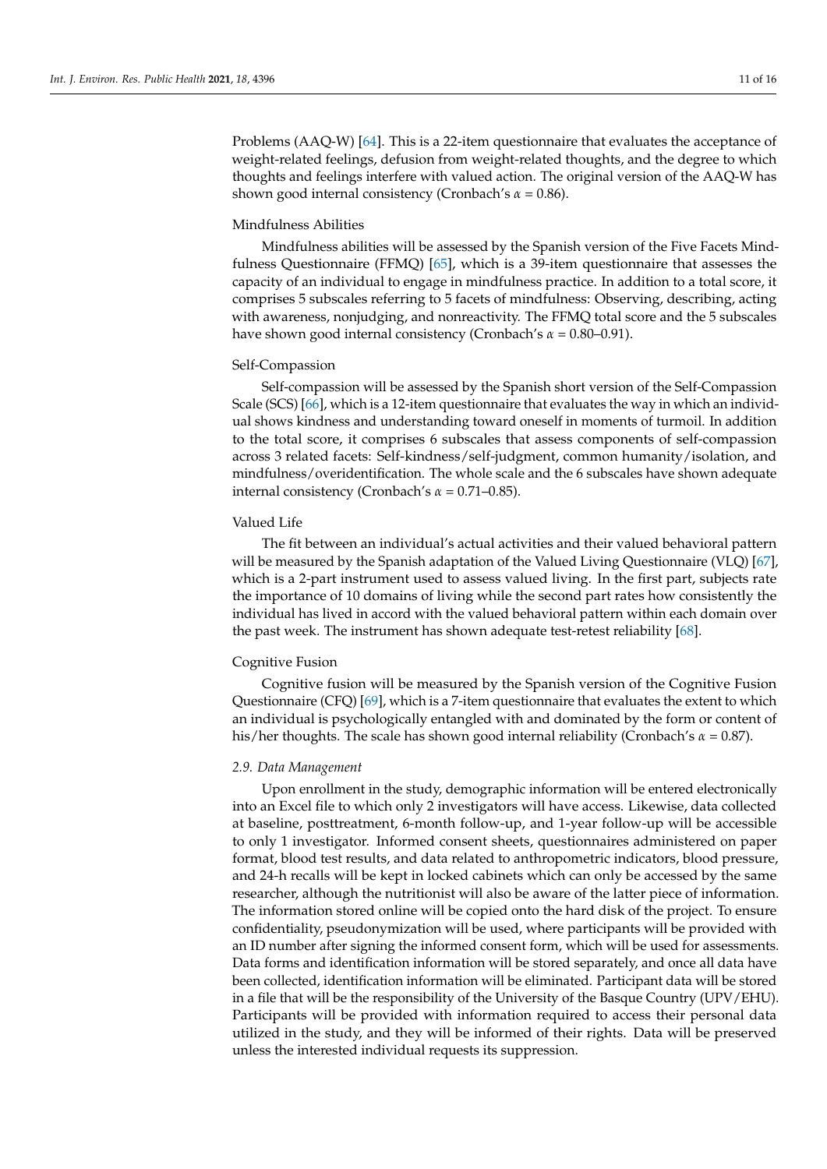Problems (AAQ-W) [\[64\]](#page-15-4). This is a 22-item questionnaire that evaluates the acceptance of weight-related feelings, defusion from weight-related thoughts, and the degree to which thoughts and feelings interfere with valued action. The original version of the AAQ-W has shown good internal consistency (Cronbach's *α* = 0.86).

# Mindfulness Abilities

Mindfulness abilities will be assessed by the Spanish version of the Five Facets Mindfulness Questionnaire (FFMQ) [\[65\]](#page-15-5), which is a 39-item questionnaire that assesses the capacity of an individual to engage in mindfulness practice. In addition to a total score, it comprises 5 subscales referring to 5 facets of mindfulness: Observing, describing, acting with awareness, nonjudging, and nonreactivity. The FFMQ total score and the 5 subscales have shown good internal consistency (Cronbach's *α* = 0.80–0.91).

## Self-Compassion

Self-compassion will be assessed by the Spanish short version of the Self-Compassion Scale (SCS) [\[66\]](#page-15-6), which is a 12-item questionnaire that evaluates the way in which an individual shows kindness and understanding toward oneself in moments of turmoil. In addition to the total score, it comprises 6 subscales that assess components of self-compassion across 3 related facets: Self-kindness/self-judgment, common humanity/isolation, and mindfulness/overidentification. The whole scale and the 6 subscales have shown adequate internal consistency (Cronbach's *α* = 0.71–0.85).

# Valued Life

The fit between an individual's actual activities and their valued behavioral pattern will be measured by the Spanish adaptation of the Valued Living Questionnaire (VLQ) [\[67\]](#page-15-7), which is a 2-part instrument used to assess valued living. In the first part, subjects rate the importance of 10 domains of living while the second part rates how consistently the individual has lived in accord with the valued behavioral pattern within each domain over the past week. The instrument has shown adequate test-retest reliability [\[68\]](#page-15-8).

## Cognitive Fusion

Cognitive fusion will be measured by the Spanish version of the Cognitive Fusion Questionnaire (CFQ) [\[69\]](#page-15-9), which is a 7-item questionnaire that evaluates the extent to which an individual is psychologically entangled with and dominated by the form or content of his/her thoughts. The scale has shown good internal reliability (Cronbach's *α* = 0.87).

# *2.9. Data Management*

Upon enrollment in the study, demographic information will be entered electronically into an Excel file to which only 2 investigators will have access. Likewise, data collected at baseline, posttreatment, 6-month follow-up, and 1-year follow-up will be accessible to only 1 investigator. Informed consent sheets, questionnaires administered on paper format, blood test results, and data related to anthropometric indicators, blood pressure, and 24-h recalls will be kept in locked cabinets which can only be accessed by the same researcher, although the nutritionist will also be aware of the latter piece of information. The information stored online will be copied onto the hard disk of the project. To ensure confidentiality, pseudonymization will be used, where participants will be provided with an ID number after signing the informed consent form, which will be used for assessments. Data forms and identification information will be stored separately, and once all data have been collected, identification information will be eliminated. Participant data will be stored in a file that will be the responsibility of the University of the Basque Country (UPV/EHU). Participants will be provided with information required to access their personal data utilized in the study, and they will be informed of their rights. Data will be preserved unless the interested individual requests its suppression.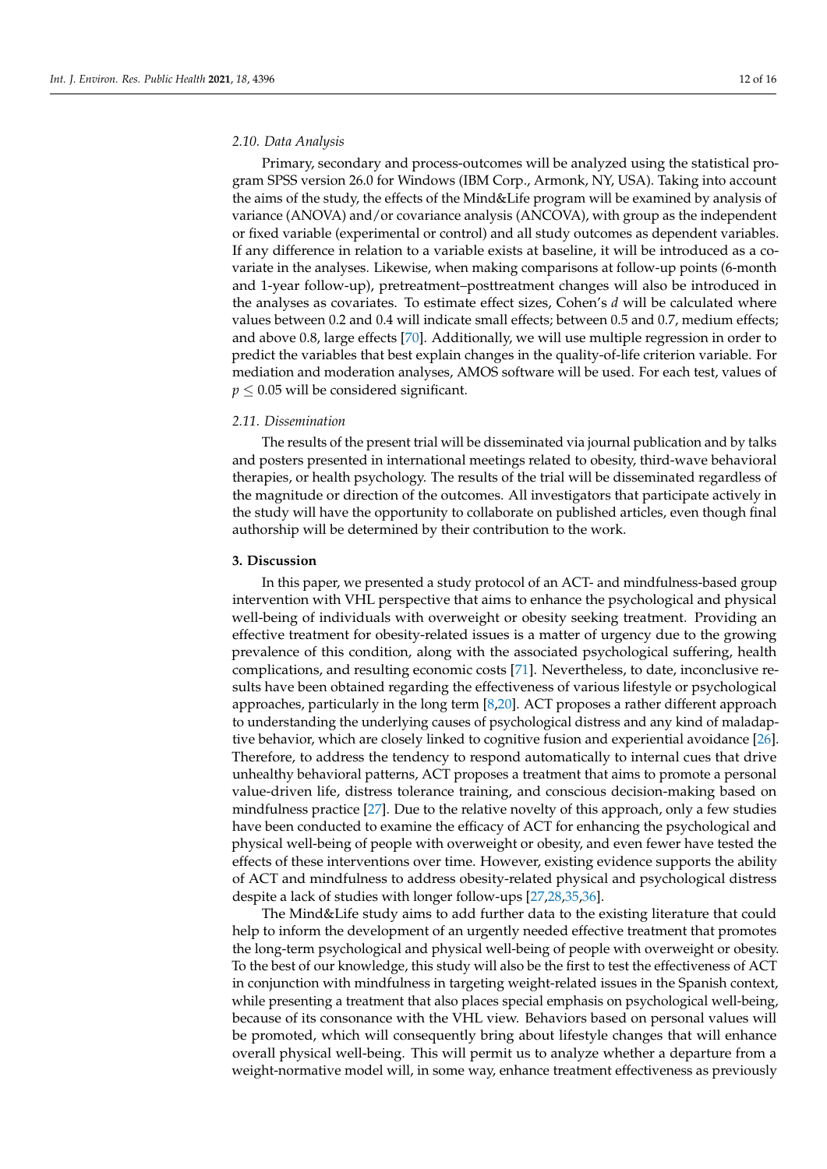## *2.10. Data Analysis*

Primary, secondary and process-outcomes will be analyzed using the statistical program SPSS version 26.0 for Windows (IBM Corp., Armonk, NY, USA). Taking into account the aims of the study, the effects of the Mind&Life program will be examined by analysis of variance (ANOVA) and/or covariance analysis (ANCOVA), with group as the independent or fixed variable (experimental or control) and all study outcomes as dependent variables. If any difference in relation to a variable exists at baseline, it will be introduced as a covariate in the analyses. Likewise, when making comparisons at follow-up points (6-month and 1-year follow-up), pretreatment–posttreatment changes will also be introduced in the analyses as covariates. To estimate effect sizes, Cohen's *d* will be calculated where values between 0.2 and 0.4 will indicate small effects; between 0.5 and 0.7, medium effects; and above 0.8, large effects [\[70\]](#page-15-10). Additionally, we will use multiple regression in order to predict the variables that best explain changes in the quality-of-life criterion variable. For mediation and moderation analyses, AMOS software will be used. For each test, values of  $p \leq 0.05$  will be considered significant.

#### *2.11. Dissemination*

The results of the present trial will be disseminated via journal publication and by talks and posters presented in international meetings related to obesity, third-wave behavioral therapies, or health psychology. The results of the trial will be disseminated regardless of the magnitude or direction of the outcomes. All investigators that participate actively in the study will have the opportunity to collaborate on published articles, even though final authorship will be determined by their contribution to the work.

#### **3. Discussion**

In this paper, we presented a study protocol of an ACT- and mindfulness-based group intervention with VHL perspective that aims to enhance the psychological and physical well-being of individuals with overweight or obesity seeking treatment. Providing an effective treatment for obesity-related issues is a matter of urgency due to the growing prevalence of this condition, along with the associated psychological suffering, health complications, and resulting economic costs [\[71\]](#page-15-11). Nevertheless, to date, inconclusive results have been obtained regarding the effectiveness of various lifestyle or psychological approaches, particularly in the long term [\[8](#page-12-7)[,20\]](#page-13-11). ACT proposes a rather different approach to understanding the underlying causes of psychological distress and any kind of maladaptive behavior, which are closely linked to cognitive fusion and experiential avoidance [\[26\]](#page-13-16). Therefore, to address the tendency to respond automatically to internal cues that drive unhealthy behavioral patterns, ACT proposes a treatment that aims to promote a personal value-driven life, distress tolerance training, and conscious decision-making based on mindfulness practice [\[27\]](#page-13-17). Due to the relative novelty of this approach, only a few studies have been conducted to examine the efficacy of ACT for enhancing the psychological and physical well-being of people with overweight or obesity, and even fewer have tested the effects of these interventions over time. However, existing evidence supports the ability of ACT and mindfulness to address obesity-related physical and psychological distress despite a lack of studies with longer follow-ups [\[27](#page-13-17)[,28](#page-13-23)[,35](#page-14-1)[,36\]](#page-14-2).

The Mind&Life study aims to add further data to the existing literature that could help to inform the development of an urgently needed effective treatment that promotes the long-term psychological and physical well-being of people with overweight or obesity. To the best of our knowledge, this study will also be the first to test the effectiveness of ACT in conjunction with mindfulness in targeting weight-related issues in the Spanish context, while presenting a treatment that also places special emphasis on psychological well-being, because of its consonance with the VHL view. Behaviors based on personal values will be promoted, which will consequently bring about lifestyle changes that will enhance overall physical well-being. This will permit us to analyze whether a departure from a weight-normative model will, in some way, enhance treatment effectiveness as previously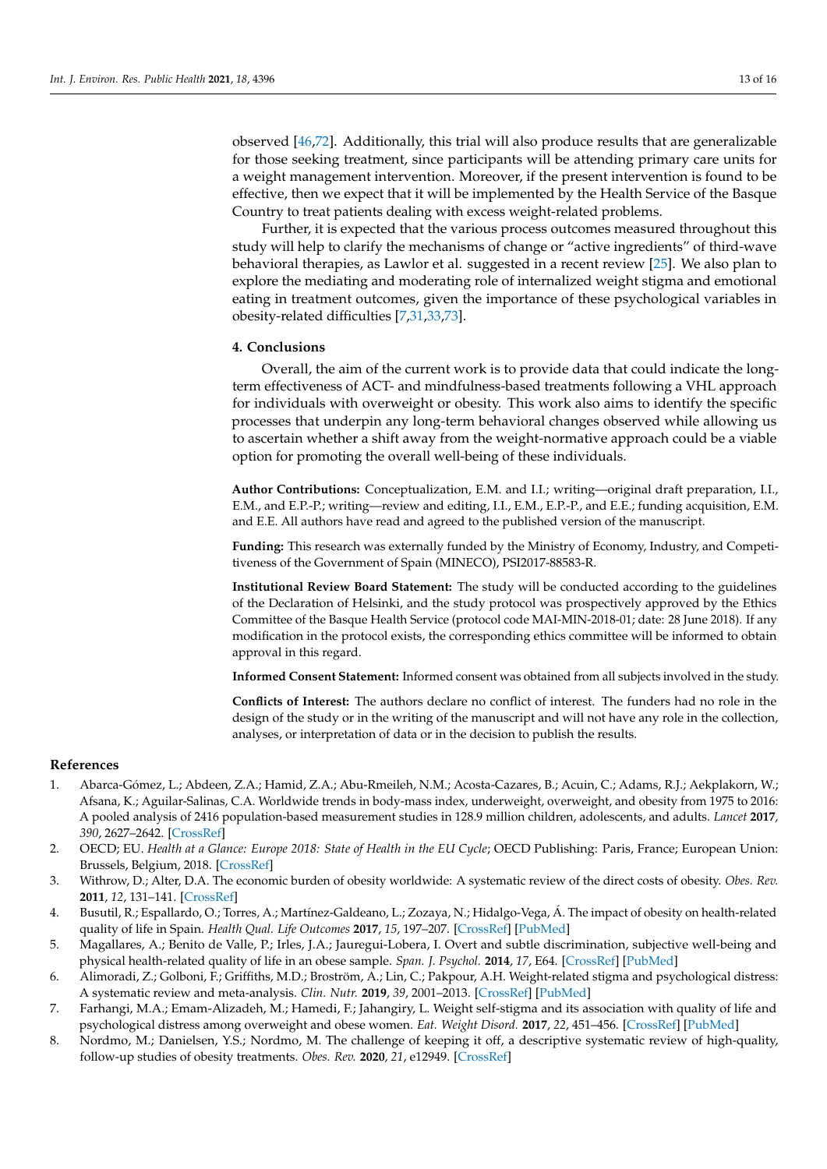observed [\[46,](#page-14-11)[72\]](#page-15-12). Additionally, this trial will also produce results that are generalizable for those seeking treatment, since participants will be attending primary care units for a weight management intervention. Moreover, if the present intervention is found to be effective, then we expect that it will be implemented by the Health Service of the Basque Country to treat patients dealing with excess weight-related problems.

Further, it is expected that the various process outcomes measured throughout this study will help to clarify the mechanisms of change or "active ingredients" of third-wave behavioral therapies, as Lawlor et al. suggested in a recent review [\[25\]](#page-13-15). We also plan to explore the mediating and moderating role of internalized weight stigma and emotional eating in treatment outcomes, given the importance of these psychological variables in obesity-related difficulties [\[7,](#page-12-6)[31,](#page-13-20)[33,](#page-13-22)[73\]](#page-15-13).

# **4. Conclusions**

Overall, the aim of the current work is to provide data that could indicate the longterm effectiveness of ACT- and mindfulness-based treatments following a VHL approach for individuals with overweight or obesity. This work also aims to identify the specific processes that underpin any long-term behavioral changes observed while allowing us to ascertain whether a shift away from the weight-normative approach could be a viable option for promoting the overall well-being of these individuals.

**Author Contributions:** Conceptualization, E.M. and I.I.; writing—original draft preparation, I.I., E.M., and E.P.-P.; writing—review and editing, I.I., E.M., E.P.-P., and E.E.; funding acquisition, E.M. and E.E. All authors have read and agreed to the published version of the manuscript.

**Funding:** This research was externally funded by the Ministry of Economy, Industry, and Competitiveness of the Government of Spain (MINECO), PSI2017-88583-R.

**Institutional Review Board Statement:** The study will be conducted according to the guidelines of the Declaration of Helsinki, and the study protocol was prospectively approved by the Ethics Committee of the Basque Health Service (protocol code MAI-MIN-2018-01; date: 28 June 2018). If any modification in the protocol exists, the corresponding ethics committee will be informed to obtain approval in this regard.

**Informed Consent Statement:** Informed consent was obtained from all subjects involved in the study.

**Conflicts of Interest:** The authors declare no conflict of interest. The funders had no role in the design of the study or in the writing of the manuscript and will not have any role in the collection, analyses, or interpretation of data or in the decision to publish the results.

# **References**

- <span id="page-12-0"></span>1. Abarca-Gómez, L.; Abdeen, Z.A.; Hamid, Z.A.; Abu-Rmeileh, N.M.; Acosta-Cazares, B.; Acuin, C.; Adams, R.J.; Aekplakorn, W.; Afsana, K.; Aguilar-Salinas, C.A. Worldwide trends in body-mass index, underweight, overweight, and obesity from 1975 to 2016: A pooled analysis of 2416 population-based measurement studies in 128.9 million children, adolescents, and adults. *Lancet* **2017**, *390*, 2627–2642. [\[CrossRef\]](http://doi.org/10.1016/S0140-6736(17)32129-3)
- <span id="page-12-1"></span>2. OECD; EU. *Health at a Glance: Europe 2018: State of Health in the EU Cycle; OECD Publishing: Paris, France; European Union:* Brussels, Belgium, 2018. [\[CrossRef\]](http://doi.org/10.1787/23056088)
- <span id="page-12-2"></span>3. Withrow, D.; Alter, D.A. The economic burden of obesity worldwide: A systematic review of the direct costs of obesity. *Obes. Rev.* **2011**, *12*, 131–141. [\[CrossRef\]](http://doi.org/10.1111/j.1467-789X.2009.00712.x)
- <span id="page-12-3"></span>4. Busutil, R.; Espallardo, O.; Torres, A.; Martínez-Galdeano, L.; Zozaya, N.; Hidalgo-Vega, Á. The impact of obesity on health-related quality of life in Spain. *Health Qual. Life Outcomes* **2017**, *15*, 197–207. [\[CrossRef\]](http://doi.org/10.1186/s12955-017-0773-y) [\[PubMed\]](http://www.ncbi.nlm.nih.gov/pubmed/29017494)
- <span id="page-12-4"></span>5. Magallares, A.; Benito de Valle, P.; Irles, J.A.; Jauregui-Lobera, I. Overt and subtle discrimination, subjective well-being and physical health-related quality of life in an obese sample. *Span. J. Psychol.* **2014**, *17*, E64. [\[CrossRef\]](http://doi.org/10.1017/sjp.2014.64) [\[PubMed\]](http://www.ncbi.nlm.nih.gov/pubmed/26054408)
- <span id="page-12-5"></span>6. Alimoradi, Z.; Golboni, F.; Griffiths, M.D.; Broström, A.; Lin, C.; Pakpour, A.H. Weight-related stigma and psychological distress: A systematic review and meta-analysis. *Clin. Nutr.* **2019**, *39*, 2001–2013. [\[CrossRef\]](http://doi.org/10.1016/j.clnu.2019.10.016) [\[PubMed\]](http://www.ncbi.nlm.nih.gov/pubmed/31732288)
- <span id="page-12-6"></span>7. Farhangi, M.A.; Emam-Alizadeh, M.; Hamedi, F.; Jahangiry, L. Weight self-stigma and its association with quality of life and psychological distress among overweight and obese women. *Eat. Weight Disord.* **2017**, *22*, 451–456. [\[CrossRef\]](http://doi.org/10.1007/s40519-016-0288-2) [\[PubMed\]](http://www.ncbi.nlm.nih.gov/pubmed/27160832)
- <span id="page-12-7"></span>8. Nordmo, M.; Danielsen, Y.S.; Nordmo, M. The challenge of keeping it off, a descriptive systematic review of high-quality, follow-up studies of obesity treatments. *Obes. Rev.* **2020**, *21*, e12949. [\[CrossRef\]](http://doi.org/10.1111/obr.12949)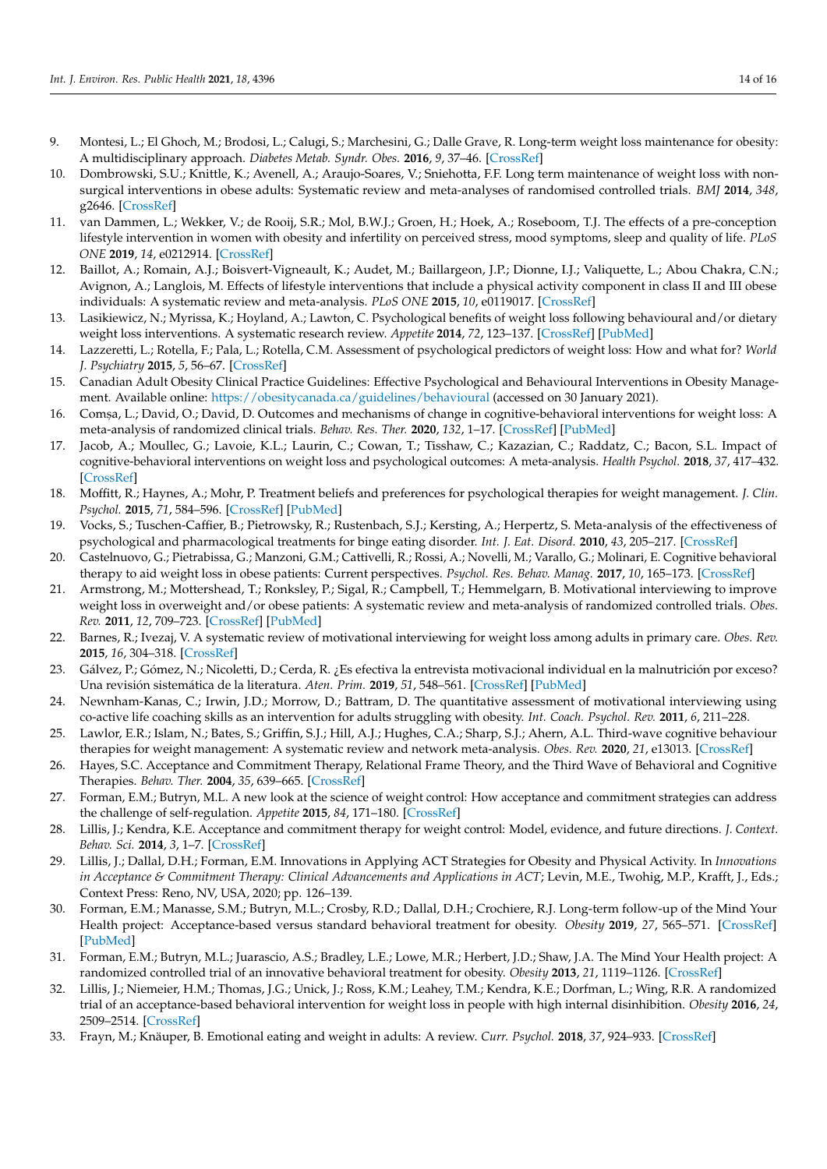- <span id="page-13-0"></span>9. Montesi, L.; El Ghoch, M.; Brodosi, L.; Calugi, S.; Marchesini, G.; Dalle Grave, R. Long-term weight loss maintenance for obesity: A multidisciplinary approach. *Diabetes Metab. Syndr. Obes.* **2016**, *9*, 37–46. [\[CrossRef\]](http://doi.org/10.2147/DMSO.S89836)
- <span id="page-13-1"></span>10. Dombrowski, S.U.; Knittle, K.; Avenell, A.; Araujo-Soares, V.; Sniehotta, F.F. Long term maintenance of weight loss with nonsurgical interventions in obese adults: Systematic review and meta-analyses of randomised controlled trials. *BMJ* **2014**, *348*, g2646. [\[CrossRef\]](http://doi.org/10.1136/bmj.g2646)
- <span id="page-13-2"></span>11. van Dammen, L.; Wekker, V.; de Rooij, S.R.; Mol, B.W.J.; Groen, H.; Hoek, A.; Roseboom, T.J. The effects of a pre-conception lifestyle intervention in women with obesity and infertility on perceived stress, mood symptoms, sleep and quality of life. *PLoS ONE* **2019**, *14*, e0212914. [\[CrossRef\]](http://doi.org/10.1371/journal.pone.0212914)
- <span id="page-13-3"></span>12. Baillot, A.; Romain, A.J.; Boisvert-Vigneault, K.; Audet, M.; Baillargeon, J.P.; Dionne, I.J.; Valiquette, L.; Abou Chakra, C.N.; Avignon, A.; Langlois, M. Effects of lifestyle interventions that include a physical activity component in class II and III obese individuals: A systematic review and meta-analysis. *PLoS ONE* **2015**, *10*, e0119017. [\[CrossRef\]](http://doi.org/10.1371/journal.pone.0119017)
- <span id="page-13-4"></span>13. Lasikiewicz, N.; Myrissa, K.; Hoyland, A.; Lawton, C. Psychological benefits of weight loss following behavioural and/or dietary weight loss interventions. A systematic research review. *Appetite* **2014**, *72*, 123–137. [\[CrossRef\]](http://doi.org/10.1016/j.appet.2013.09.017) [\[PubMed\]](http://www.ncbi.nlm.nih.gov/pubmed/24075862)
- <span id="page-13-5"></span>14. Lazzeretti, L.; Rotella, F.; Pala, L.; Rotella, C.M. Assessment of psychological predictors of weight loss: How and what for? *World J. Psychiatry* **2015**, *5*, 56–67. [\[CrossRef\]](http://doi.org/10.5498/wjp.v5.i1.56)
- <span id="page-13-6"></span>15. Canadian Adult Obesity Clinical Practice Guidelines: Effective Psychological and Behavioural Interventions in Obesity Management. Available online: <https://obesitycanada.ca/guidelines/behavioural> (accessed on 30 January 2021).
- <span id="page-13-7"></span>16. Comșa, L.; David, O.; David, D. Outcomes and mechanisms of change in cognitive-behavioral interventions for weight loss: A meta-analysis of randomized clinical trials. *Behav. Res. Ther.* **2020**, *132*, 1–17. [\[CrossRef\]](http://doi.org/10.1016/j.brat.2020.103654) [\[PubMed\]](http://www.ncbi.nlm.nih.gov/pubmed/32683134)
- <span id="page-13-9"></span>17. Jacob, A.; Moullec, G.; Lavoie, K.L.; Laurin, C.; Cowan, T.; Tisshaw, C.; Kazazian, C.; Raddatz, C.; Bacon, S.L. Impact of cognitive-behavioral interventions on weight loss and psychological outcomes: A meta-analysis. *Health Psychol.* **2018**, *37*, 417–432. [\[CrossRef\]](http://doi.org/10.1037/hea0000576)
- <span id="page-13-8"></span>18. Moffitt, R.; Haynes, A.; Mohr, P. Treatment beliefs and preferences for psychological therapies for weight management. *J. Clin. Psychol.* **2015**, *71*, 584–596. [\[CrossRef\]](http://doi.org/10.1002/jclp.22157) [\[PubMed\]](http://www.ncbi.nlm.nih.gov/pubmed/25787892)
- <span id="page-13-10"></span>19. Vocks, S.; Tuschen-Caffier, B.; Pietrowsky, R.; Rustenbach, S.J.; Kersting, A.; Herpertz, S. Meta-analysis of the effectiveness of psychological and pharmacological treatments for binge eating disorder. *Int. J. Eat. Disord.* **2010**, *43*, 205–217. [\[CrossRef\]](http://doi.org/10.1002/eat.20696)
- <span id="page-13-11"></span>20. Castelnuovo, G.; Pietrabissa, G.; Manzoni, G.M.; Cattivelli, R.; Rossi, A.; Novelli, M.; Varallo, G.; Molinari, E. Cognitive behavioral therapy to aid weight loss in obese patients: Current perspectives. *Psychol. Res. Behav. Manag.* **2017**, *10*, 165–173. [\[CrossRef\]](http://doi.org/10.2147/PRBM.S113278)
- <span id="page-13-12"></span>21. Armstrong, M.; Mottershead, T.; Ronksley, P.; Sigal, R.; Campbell, T.; Hemmelgarn, B. Motivational interviewing to improve weight loss in overweight and/or obese patients: A systematic review and meta-analysis of randomized controlled trials. *Obes. Rev.* **2011**, *12*, 709–723. [\[CrossRef\]](http://doi.org/10.1111/j.1467-789X.2011.00892.x) [\[PubMed\]](http://www.ncbi.nlm.nih.gov/pubmed/21692966)
- 22. Barnes, R.; Ivezaj, V. A systematic review of motivational interviewing for weight loss among adults in primary care. *Obes. Rev.* **2015**, *16*, 304–318. [\[CrossRef\]](http://doi.org/10.1111/obr.12264)
- <span id="page-13-13"></span>23. Gálvez, P.; Gómez, N.; Nicoletti, D.; Cerda, R. ¿Es efectiva la entrevista motivacional individual en la malnutrición por exceso? Una revisión sistemática de la literatura. *Aten. Prim.* **2019**, *51*, 548–561. [\[CrossRef\]](http://doi.org/10.1016/j.aprim.2018.04.006) [\[PubMed\]](http://www.ncbi.nlm.nih.gov/pubmed/30360916)
- <span id="page-13-14"></span>24. Newnham-Kanas, C.; Irwin, J.D.; Morrow, D.; Battram, D. The quantitative assessment of motivational interviewing using co-active life coaching skills as an intervention for adults struggling with obesity. *Int. Coach. Psychol. Rev.* **2011**, *6*, 211–228.
- <span id="page-13-15"></span>25. Lawlor, E.R.; Islam, N.; Bates, S.; Griffin, S.J.; Hill, A.J.; Hughes, C.A.; Sharp, S.J.; Ahern, A.L. Third-wave cognitive behaviour therapies for weight management: A systematic review and network meta-analysis. *Obes. Rev.* **2020**, *21*, e13013. [\[CrossRef\]](http://doi.org/10.1111/obr.13013)
- <span id="page-13-16"></span>26. Hayes, S.C. Acceptance and Commitment Therapy, Relational Frame Theory, and the Third Wave of Behavioral and Cognitive Therapies. *Behav. Ther.* **2004**, *35*, 639–665. [\[CrossRef\]](http://doi.org/10.1016/S0005-7894(04)80013-3)
- <span id="page-13-17"></span>27. Forman, E.M.; Butryn, M.L. A new look at the science of weight control: How acceptance and commitment strategies can address the challenge of self-regulation. *Appetite* **2015**, *84*, 171–180. [\[CrossRef\]](http://doi.org/10.1016/j.appet.2014.10.004)
- <span id="page-13-23"></span>28. Lillis, J.; Kendra, K.E. Acceptance and commitment therapy for weight control: Model, evidence, and future directions. *J. Context. Behav. Sci.* **2014**, *3*, 1–7. [\[CrossRef\]](http://doi.org/10.1016/j.jcbs.2013.11.005)
- <span id="page-13-18"></span>29. Lillis, J.; Dallal, D.H.; Forman, E.M. Innovations in Applying ACT Strategies for Obesity and Physical Activity. In *Innovations* in Acceptance & Commitment Therapy: Clinical Advancements and Applications in ACT; Levin, M.E., Twohig, M.P., Krafft, J., Eds.; Context Press: Reno, NV, USA, 2020; pp. 126–139.
- <span id="page-13-19"></span>30. Forman, E.M.; Manasse, S.M.; Butryn, M.L.; Crosby, R.D.; Dallal, D.H.; Crochiere, R.J. Long-term follow-up of the Mind Your Health project: Acceptance-based versus standard behavioral treatment for obesity. *Obesity* **2019**, *27*, 565–571. [\[CrossRef\]](http://doi.org/10.1002/oby.22412) [\[PubMed\]](http://www.ncbi.nlm.nih.gov/pubmed/30806492)
- <span id="page-13-20"></span>31. Forman, E.M.; Butryn, M.L.; Juarascio, A.S.; Bradley, L.E.; Lowe, M.R.; Herbert, J.D.; Shaw, J.A. The Mind Your Health project: A randomized controlled trial of an innovative behavioral treatment for obesity. *Obesity* **2013**, *21*, 1119–1126. [\[CrossRef\]](http://doi.org/10.1002/oby.20169)
- <span id="page-13-21"></span>32. Lillis, J.; Niemeier, H.M.; Thomas, J.G.; Unick, J.; Ross, K.M.; Leahey, T.M.; Kendra, K.E.; Dorfman, L.; Wing, R.R. A randomized trial of an acceptance-based behavioral intervention for weight loss in people with high internal disinhibition. *Obesity* **2016**, *24*, 2509–2514. [\[CrossRef\]](http://doi.org/10.1002/oby.21680)
- <span id="page-13-22"></span>33. Frayn, M.; Knäuper, B. Emotional eating and weight in adults: A review. *Curr. Psychol.* **2018**, *37*, 924–933. [\[CrossRef\]](http://doi.org/10.1007/s12144-017-9577-9)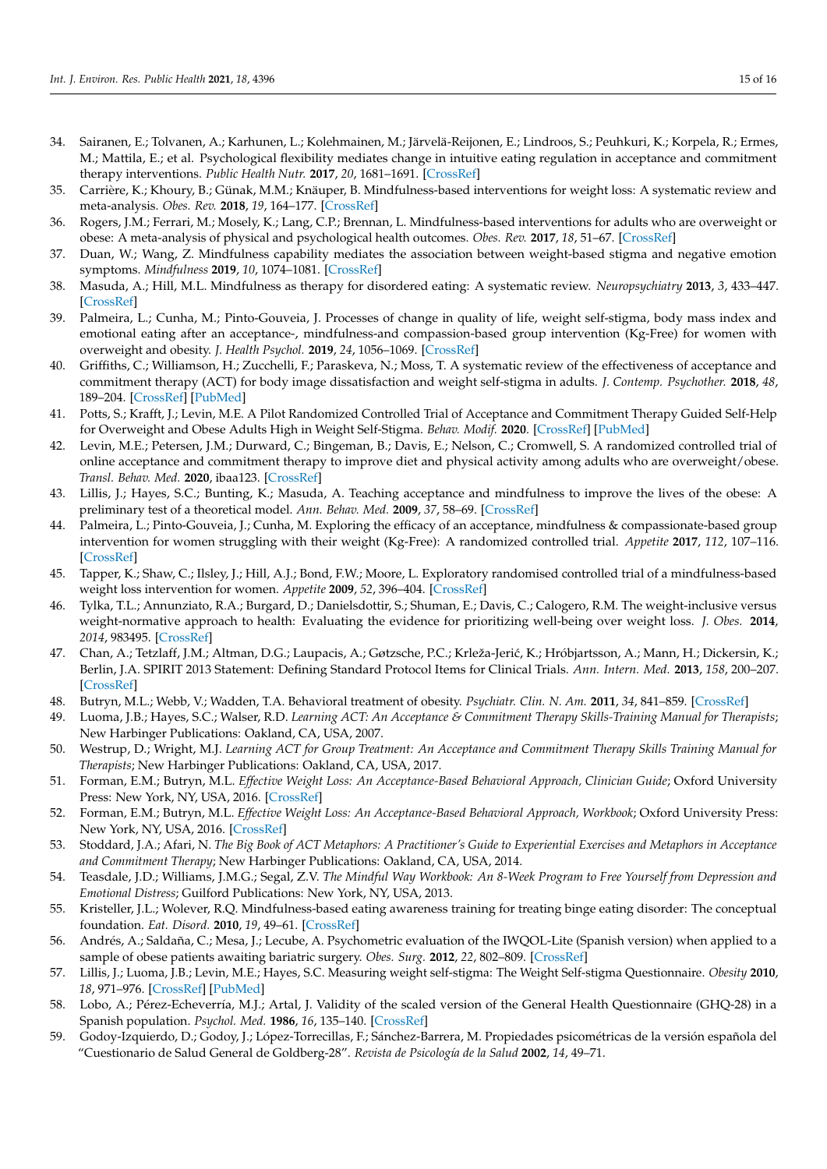- <span id="page-14-0"></span>34. Sairanen, E.; Tolvanen, A.; Karhunen, L.; Kolehmainen, M.; Järvelä-Reijonen, E.; Lindroos, S.; Peuhkuri, K.; Korpela, R.; Ermes, M.; Mattila, E.; et al. Psychological flexibility mediates change in intuitive eating regulation in acceptance and commitment therapy interventions. *Public Health Nutr.* **2017**, *20*, 1681–1691. [\[CrossRef\]](http://doi.org/10.1017/S1368980017000441)
- <span id="page-14-1"></span>35. Carrière, K.; Khoury, B.; Günak, M.M.; Knäuper, B. Mindfulness-based interventions for weight loss: A systematic review and meta-analysis. *Obes. Rev.* **2018**, *19*, 164–177. [\[CrossRef\]](http://doi.org/10.1111/obr.12623)
- <span id="page-14-2"></span>36. Rogers, J.M.; Ferrari, M.; Mosely, K.; Lang, C.P.; Brennan, L. Mindfulness-based interventions for adults who are overweight or obese: A meta-analysis of physical and psychological health outcomes. *Obes. Rev.* **2017**, *18*, 51–67. [\[CrossRef\]](http://doi.org/10.1111/obr.12461)
- <span id="page-14-3"></span>37. Duan, W.; Wang, Z. Mindfulness capability mediates the association between weight-based stigma and negative emotion symptoms. *Mindfulness* **2019**, *10*, 1074–1081. [\[CrossRef\]](http://doi.org/10.1007/s12671-018-1039-4)
- <span id="page-14-4"></span>38. Masuda, A.; Hill, M.L. Mindfulness as therapy for disordered eating: A systematic review. *Neuropsychiatry* **2013**, *3*, 433–447. [\[CrossRef\]](http://doi.org/10.2217/npy.13.36)
- <span id="page-14-5"></span>39. Palmeira, L.; Cunha, M.; Pinto-Gouveia, J. Processes of change in quality of life, weight self-stigma, body mass index and emotional eating after an acceptance-, mindfulness-and compassion-based group intervention (Kg-Free) for women with overweight and obesity. *J. Health Psychol.* **2019**, *24*, 1056–1069. [\[CrossRef\]](http://doi.org/10.1177/1359105316686668)
- <span id="page-14-6"></span>40. Griffiths, C.; Williamson, H.; Zucchelli, F.; Paraskeva, N.; Moss, T. A systematic review of the effectiveness of acceptance and commitment therapy (ACT) for body image dissatisfaction and weight self-stigma in adults. *J. Contemp. Psychother.* **2018**, *48*, 189–204. [\[CrossRef\]](http://doi.org/10.1007/s10879-018-9384-0) [\[PubMed\]](http://www.ncbi.nlm.nih.gov/pubmed/30369631)
- 41. Potts, S.; Krafft, J.; Levin, M.E. A Pilot Randomized Controlled Trial of Acceptance and Commitment Therapy Guided Self-Help for Overweight and Obese Adults High in Weight Self-Stigma. *Behav. Modif.* **2020**. [\[CrossRef\]](http://doi.org/10.1177/0145445520975112) [\[PubMed\]](http://www.ncbi.nlm.nih.gov/pubmed/33251823)
- <span id="page-14-7"></span>42. Levin, M.E.; Petersen, J.M.; Durward, C.; Bingeman, B.; Davis, E.; Nelson, C.; Cromwell, S. A randomized controlled trial of online acceptance and commitment therapy to improve diet and physical activity among adults who are overweight/obese. *Transl. Behav. Med.* **2020**, ibaa123. [\[CrossRef\]](http://doi.org/10.1093/tbm/ibaa123)
- <span id="page-14-8"></span>43. Lillis, J.; Hayes, S.C.; Bunting, K.; Masuda, A. Teaching acceptance and mindfulness to improve the lives of the obese: A preliminary test of a theoretical model. *Ann. Behav. Med.* **2009**, *37*, 58–69. [\[CrossRef\]](http://doi.org/10.1007/s12160-009-9083-x)
- <span id="page-14-9"></span>44. Palmeira, L.; Pinto-Gouveia, J.; Cunha, M. Exploring the efficacy of an acceptance, mindfulness & compassionate-based group intervention for women struggling with their weight (Kg-Free): A randomized controlled trial. *Appetite* **2017**, *112*, 107–116. [\[CrossRef\]](http://doi.org/10.1016/j.appet.2017.01.027)
- <span id="page-14-10"></span>45. Tapper, K.; Shaw, C.; Ilsley, J.; Hill, A.J.; Bond, F.W.; Moore, L. Exploratory randomised controlled trial of a mindfulness-based weight loss intervention for women. *Appetite* **2009**, *52*, 396–404. [\[CrossRef\]](http://doi.org/10.1016/j.appet.2008.11.012)
- <span id="page-14-11"></span>46. Tylka, T.L.; Annunziato, R.A.; Burgard, D.; Danielsdottir, S.; Shuman, E.; Davis, C.; Calogero, R.M. The weight-inclusive versus weight-normative approach to health: Evaluating the evidence for prioritizing well-being over weight loss. *J. Obes.* **2014**, *2014*, 983495. [\[CrossRef\]](http://doi.org/10.1155/2014/983495)
- <span id="page-14-12"></span>47. Chan, A.; Tetzlaff, J.M.; Altman, D.G.; Laupacis, A.; Gøtzsche, P.C.; Krleža-Jerić, K.; Hróbjartsson, A.; Mann, H.; Dickersin, K.; Berlin, J.A. SPIRIT 2013 Statement: Defining Standard Protocol Items for Clinical Trials. *Ann. Intern. Med.* **2013**, *158*, 200–207. [\[CrossRef\]](http://doi.org/10.7326/0003-4819-158-3-201302050-00583)
- <span id="page-14-13"></span>48. Butryn, M.L.; Webb, V.; Wadden, T.A. Behavioral treatment of obesity. *Psychiatr. Clin. N. Am.* **2011**, *34*, 841–859. [\[CrossRef\]](http://doi.org/10.1016/j.psc.2011.08.006)
- <span id="page-14-14"></span>49. Luoma, J.B.; Hayes, S.C.; Walser, R.D. *Learning ACT: An Acceptance & Commitment Therapy Skills-Training Manual for Therapists*; New Harbinger Publications: Oakland, CA, USA, 2007.
- <span id="page-14-15"></span>50. Westrup, D.; Wright, M.J. *Learning ACT for Group Treatment: An Acceptance and Commitment Therapy Skills Training Manual for Therapists*; New Harbinger Publications: Oakland, CA, USA, 2017.
- <span id="page-14-16"></span>51. Forman, E.M.; Butryn, M.L. *Effective Weight Loss: An Acceptance-Based Behavioral Approach, Clinician Guide*; Oxford University Press: New York, NY, USA, 2016. [\[CrossRef\]](http://doi.org/10.1093/med:psych/9780190232009.001.0001)
- <span id="page-14-17"></span>52. Forman, E.M.; Butryn, M.L. *Effective Weight Loss: An Acceptance-Based Behavioral Approach, Workbook*; Oxford University Press: New York, NY, USA, 2016. [\[CrossRef\]](http://doi.org/10.1093/med:psych/9780190232023.001.0001)
- <span id="page-14-18"></span>53. Stoddard, J.A.; Afari, N. *The Big Book of ACT Metaphors: A Practitioner's Guide to Experiential Exercises and Metaphors in Acceptance and Commitment Therapy*; New Harbinger Publications: Oakland, CA, USA, 2014.
- <span id="page-14-19"></span>54. Teasdale, J.D.; Williams, J.M.G.; Segal, Z.V. *The Mindful Way Workbook: An 8-Week Program to Free Yourself from Depression and Emotional Distress*; Guilford Publications: New York, NY, USA, 2013.
- <span id="page-14-20"></span>55. Kristeller, J.L.; Wolever, R.Q. Mindfulness-based eating awareness training for treating binge eating disorder: The conceptual foundation. *Eat. Disord.* **2010**, *19*, 49–61. [\[CrossRef\]](http://doi.org/10.1080/10640266.2011.533605)
- <span id="page-14-21"></span>56. Andrés, A.; Saldaña, C.; Mesa, J.; Lecube, A. Psychometric evaluation of the IWQOL-Lite (Spanish version) when applied to a sample of obese patients awaiting bariatric surgery. *Obes. Surg.* **2012**, *22*, 802–809. [\[CrossRef\]](http://doi.org/10.1007/s11695-011-0518-7)
- <span id="page-14-22"></span>57. Lillis, J.; Luoma, J.B.; Levin, M.E.; Hayes, S.C. Measuring weight self-stigma: The Weight Self-stigma Questionnaire. *Obesity* **2010**, *18*, 971–976. [\[CrossRef\]](http://doi.org/10.1038/oby.2009.353) [\[PubMed\]](http://www.ncbi.nlm.nih.gov/pubmed/19834462)
- <span id="page-14-23"></span>58. Lobo, A.; Pérez-Echeverría, M.J.; Artal, J. Validity of the scaled version of the General Health Questionnaire (GHQ-28) in a Spanish population. *Psychol. Med.* **1986**, *16*, 135–140. [\[CrossRef\]](http://doi.org/10.1017/S0033291700002579)
- <span id="page-14-24"></span>59. Godoy-Izquierdo, D.; Godoy, J.; López-Torrecillas, F.; Sánchez-Barrera, M. Propiedades psicométricas de la versión española del "Cuestionario de Salud General de Goldberg-28". *Revista de Psicología de la Salud* **2002**, *14*, 49–71.